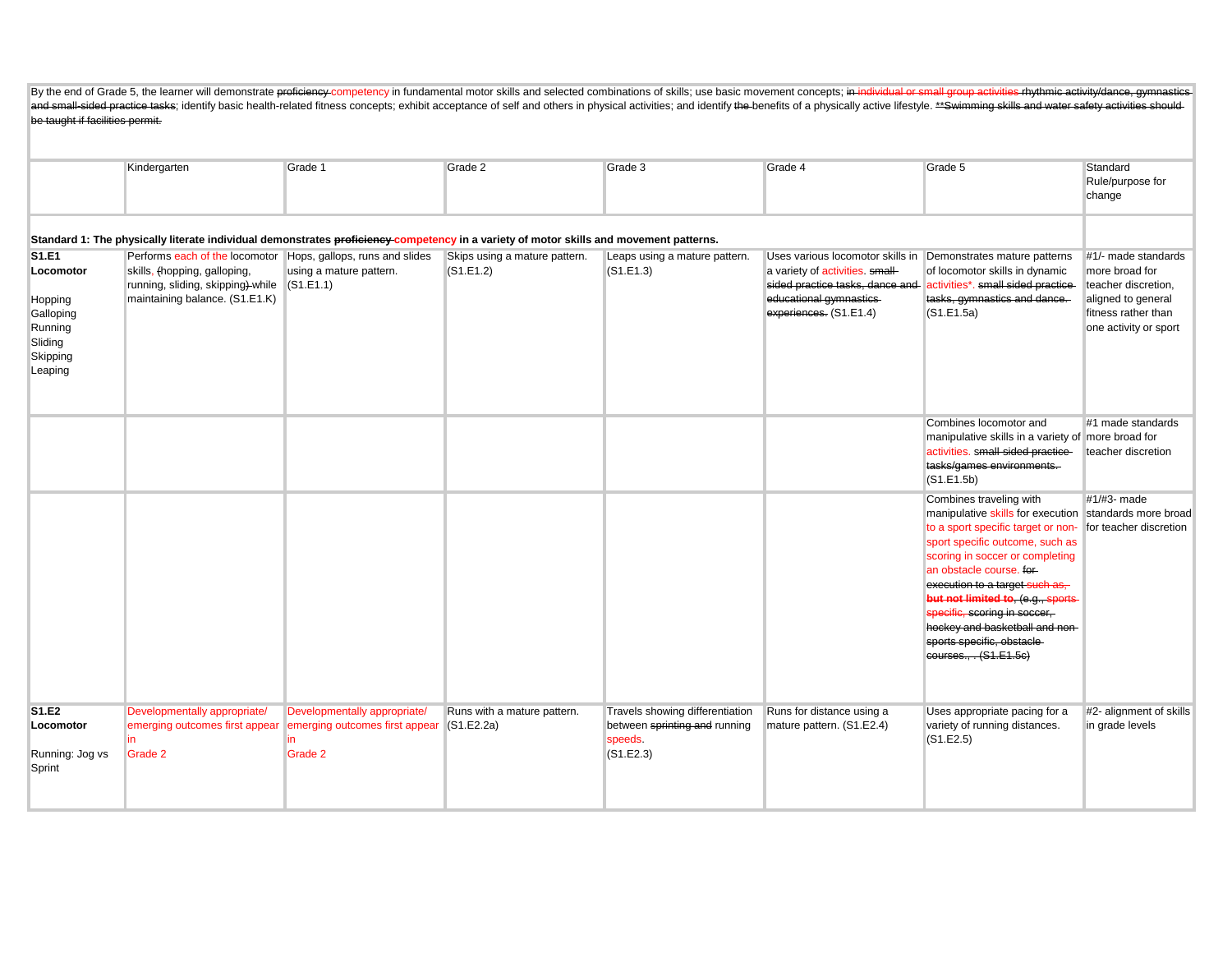By the end of Grade 5, the learner will demonstrate proficiency-competency in fundamental motor skills and selected combinations of skills; use basic movement concepts; in individual or small group activities rhythmic acti and small-sided practice tasks; identify basic health-related fitness concepts; exhibit acceptance of self and others in physical activities; and identify the benefits of a physically active lifestyle. \*\*Swimming skills an be taught if facilities permit.

|                                                                                         | Kindergarten                                                                                                                                                         | Grade 1                                                                   | Grade 2                                    | Grade 3                                                                                 | Grade 4                                                                                                                                                                                 | Grade 5                                                                                                                                                                                                                                                                                                                                                                                               | Standard<br>Rule/purpose for<br>change                                                                                             |
|-----------------------------------------------------------------------------------------|----------------------------------------------------------------------------------------------------------------------------------------------------------------------|---------------------------------------------------------------------------|--------------------------------------------|-----------------------------------------------------------------------------------------|-----------------------------------------------------------------------------------------------------------------------------------------------------------------------------------------|-------------------------------------------------------------------------------------------------------------------------------------------------------------------------------------------------------------------------------------------------------------------------------------------------------------------------------------------------------------------------------------------------------|------------------------------------------------------------------------------------------------------------------------------------|
|                                                                                         | Standard 1: The physically literate individual demonstrates proficiency competency in a variety of motor skills and movement patterns.                               |                                                                           |                                            |                                                                                         |                                                                                                                                                                                         |                                                                                                                                                                                                                                                                                                                                                                                                       |                                                                                                                                    |
| S1.E1<br>Locomotor<br>Hopping<br>Galloping<br>Running<br>Sliding<br>Skipping<br>Leaping | Performs each of the locomotor Hops, gallops, runs and slides<br>skills, (hopping, galloping,<br>running, sliding, skipping)-while<br>maintaining balance. (S1.E1.K) | using a mature pattern.<br>(S1.E1.1)                                      | Skips using a mature pattern.<br>(S1.E1.2) | Leaps using a mature pattern.<br>(S1.E1.3)                                              | Uses various locomotor skills in Demonstrates mature patterns<br>a variety of activities. small-<br>sided practice tasks, dance and<br>educational gymnastics<br>experiences. (S1.E1.4) | of locomotor skills in dynamic<br>activities*. small sided practice-<br>tasks, gymnastics and dance.<br>(S1.E1.5a)                                                                                                                                                                                                                                                                                    | #1/- made standards<br>more broad for<br>teacher discretion.<br>aligned to general<br>fitness rather than<br>one activity or sport |
|                                                                                         |                                                                                                                                                                      |                                                                           |                                            |                                                                                         |                                                                                                                                                                                         | Combines locomotor and<br>manipulative skills in a variety of more broad for<br>activities. small-sided practice-<br>tasks/games environments.<br>(S1.E1.5b)                                                                                                                                                                                                                                          | #1 made standards<br>teacher discretion                                                                                            |
|                                                                                         |                                                                                                                                                                      |                                                                           |                                            |                                                                                         |                                                                                                                                                                                         | Combines traveling with<br>manipulative skills for execution<br>to a sport specific target or non-<br>sport specific outcome, such as<br>scoring in soccer or completing<br>an obstacle course. for-<br>execution to a target such as,<br>but not limited to, (e.g., sports<br>specific, scoring in soccer,<br>hockey and basketball and non-<br>sports specific, obstacle-<br>courses., . (S1.E1.5c) | #1/#3- made<br>standards more broad<br>for teacher discretion                                                                      |
| S1.E2<br>Locomotor<br>Running: Jog vs<br>Sprint                                         | Developmentally appropriate/<br>emerging outcomes first appear<br>Grade 2                                                                                            | Developmentally appropriate/<br>emerging outcomes first appear<br>Grade 2 | Runs with a mature pattern.<br>(S1.E2.2a)  | Travels showing differentiation<br>between sprinting and running<br>speeds<br>(S1.E2.3) | Runs for distance using a<br>mature pattern. (S1.E2.4)                                                                                                                                  | Uses appropriate pacing for a<br>variety of running distances.<br>(S1.E2.5)                                                                                                                                                                                                                                                                                                                           | #2- alignment of skills<br>in grade levels                                                                                         |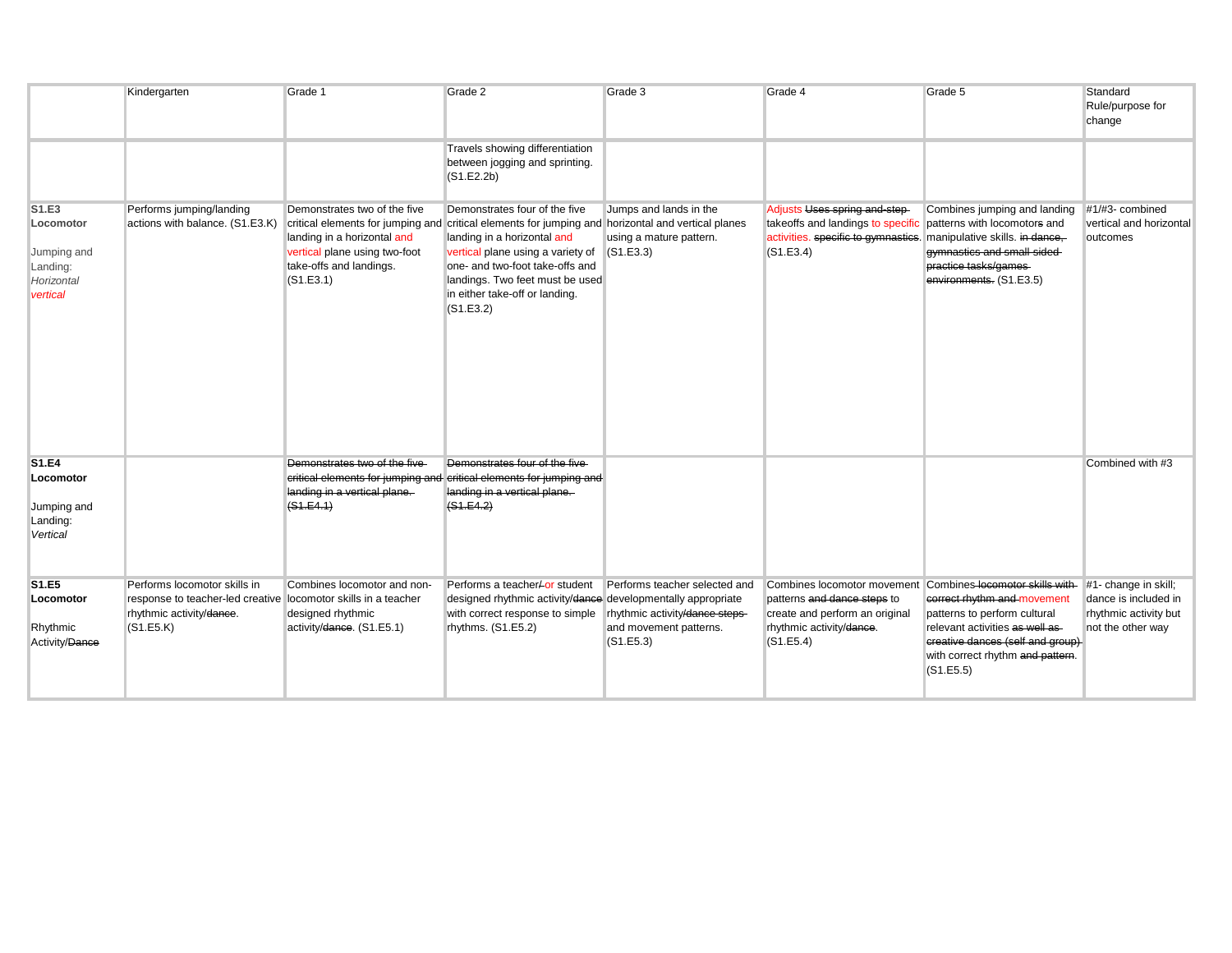|                                                                         | Kindergarten                                                                                                                            | Grade 1                                                                                                                              | Grade 2                                                                                                                                                                                                                                                                                                                      | Grade 3                                                                                               | Grade 4                                                                                                                                               | Grade 5                                                                                                                                                                                                                | Standard<br>Rule/purpose for<br>change                                                     |
|-------------------------------------------------------------------------|-----------------------------------------------------------------------------------------------------------------------------------------|--------------------------------------------------------------------------------------------------------------------------------------|------------------------------------------------------------------------------------------------------------------------------------------------------------------------------------------------------------------------------------------------------------------------------------------------------------------------------|-------------------------------------------------------------------------------------------------------|-------------------------------------------------------------------------------------------------------------------------------------------------------|------------------------------------------------------------------------------------------------------------------------------------------------------------------------------------------------------------------------|--------------------------------------------------------------------------------------------|
|                                                                         |                                                                                                                                         |                                                                                                                                      | Travels showing differentiation<br>between jogging and sprinting.<br>(S1.E2.2b)                                                                                                                                                                                                                                              |                                                                                                       |                                                                                                                                                       |                                                                                                                                                                                                                        |                                                                                            |
| S1.E3<br>Locomotor<br>Jumping and<br>Landing:<br>Horizontal<br>vertical | Performs jumping/landing<br>actions with balance. (S1.E3.K)                                                                             | Demonstrates two of the five<br>landing in a horizontal and<br>vertical plane using two-foot<br>take-offs and landings.<br>(S1.E3.1) | Demonstrates four of the five<br>critical elements for jumping and critical elements for jumping and horizontal and vertical planes<br>landing in a horizontal and<br>vertical plane using a variety of<br>one- and two-foot take-offs and<br>landings. Two feet must be used<br>in either take-off or landing.<br>(S1.E3.2) | Jumps and lands in the<br>using a mature pattern.<br>(S1.E3.3)                                        | Adjusts Uses spring and-step-<br>takeoffs and landings to specific<br>activities. specific to gymnastics. manipulative skills. in dance,<br>(S1.E3.4) | Combines jumping and landing<br>patterns with locomotors and<br>gymnastics and small-sided-<br>practice tasks/games-<br>environments. (S1.E3.5)                                                                        | #1/#3- combined<br>vertical and horizontal<br>outcomes                                     |
| <b>S1.E4</b><br>Locomotor<br>Jumping and<br>Landing:<br>Vertical        |                                                                                                                                         | Demonstrates two of the five-<br>landing in a vertical plane.<br>(S1.E4.1)                                                           | Demonstrates four of the five<br>critical elements for jumping and critical elements for jumping and<br>landing in a vertical plane.<br>(S1.E4.2)                                                                                                                                                                            |                                                                                                       |                                                                                                                                                       |                                                                                                                                                                                                                        | Combined with #3                                                                           |
| S1.E5<br>Locomotor<br>Rhythmic<br>Activity/Dance                        | Performs locomotor skills in<br>response to teacher-led creative locomotor skills in a teacher<br>rhythmic activity/dance.<br>(S1.E5.K) | Combines locomotor and non-<br>designed rhythmic<br>activity/dance. (S1.E5.1)                                                        | Performs a teacher-or student<br>designed rhythmic activity/dance developmentally appropriate<br>with correct response to simple<br>rhythms. (S1.E5.2)                                                                                                                                                                       | Performs teacher selected and<br>rhythmic activity/dance steps<br>and movement patterns.<br>(S1.E5.3) | Combines locomotor movement<br>patterns and dance steps to<br>create and perform an original<br>rhythmic activity/dance.<br>(S1.E5.4)                 | Combines-locomotor skills with-<br>correct rhythm and movement<br>patterns to perform cultural<br>relevant activities as well as-<br>creative dances (self and group)<br>with correct rhythm and pattern.<br>(S1.E5.5) | #1- change in skill;<br>dance is included in<br>rhythmic activity but<br>not the other way |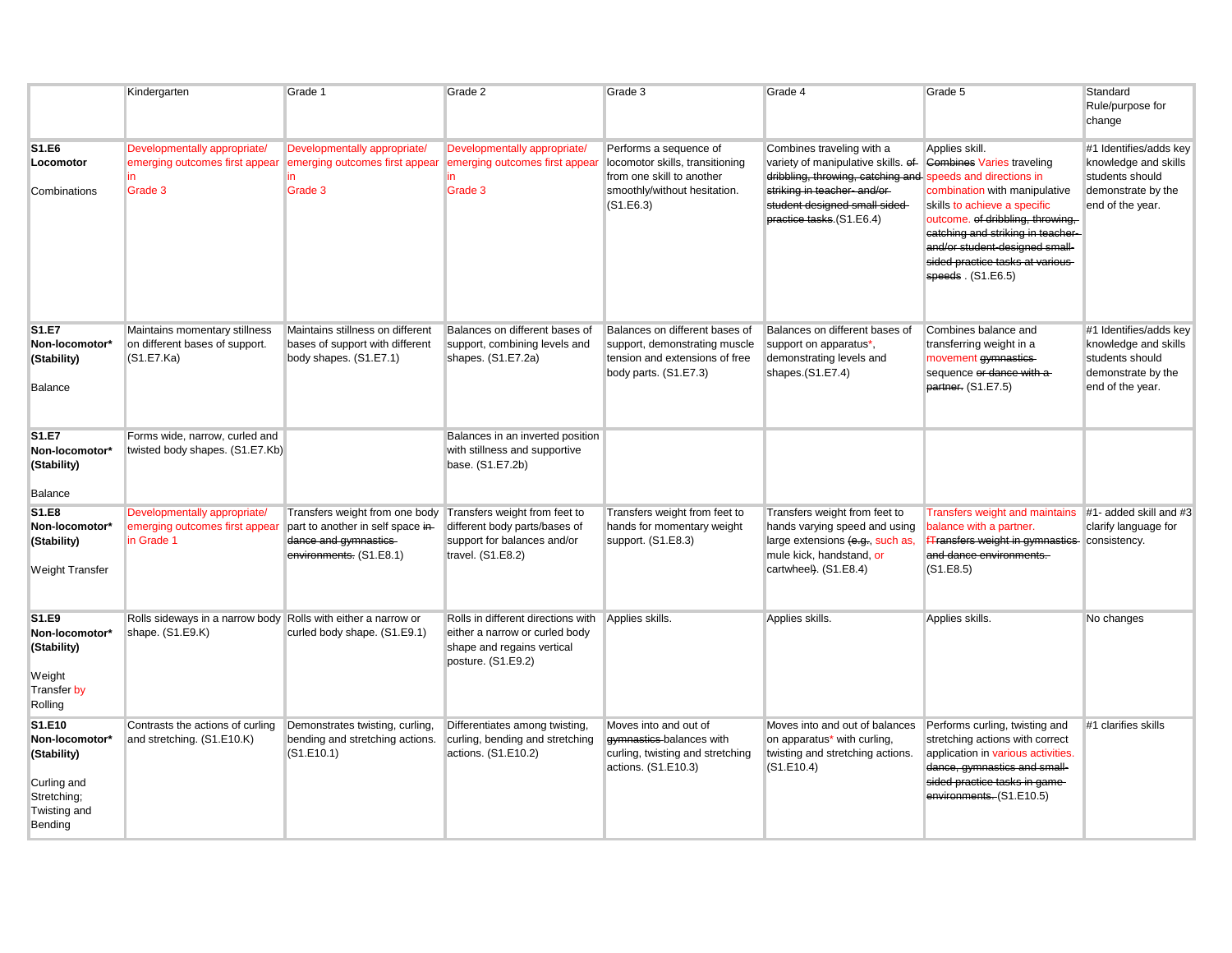|                                                                                                  | Kindergarten                                                                      | Grade 1                                                                                                                | Grade 2                                                                                                                  | Grade 3                                                                                                                             | Grade 4                                                                                                                                                                                                                    | Grade 5                                                                                                                                                                                                                                                                                   | Standard<br>Rule/purpose for<br>change                                                                      |
|--------------------------------------------------------------------------------------------------|-----------------------------------------------------------------------------------|------------------------------------------------------------------------------------------------------------------------|--------------------------------------------------------------------------------------------------------------------------|-------------------------------------------------------------------------------------------------------------------------------------|----------------------------------------------------------------------------------------------------------------------------------------------------------------------------------------------------------------------------|-------------------------------------------------------------------------------------------------------------------------------------------------------------------------------------------------------------------------------------------------------------------------------------------|-------------------------------------------------------------------------------------------------------------|
| S1.E6<br>Locomotor<br>Combinations                                                               | Developmentally appropriate/<br>emerging outcomes first appear<br>Grade 3         | Developmentally appropriate/<br>emerging outcomes first appear<br>Grade 3                                              | Developmentally appropriate/<br>emerging outcomes first appea<br>Grade 3                                                 | Performs a sequence of<br>locomotor skills, transitioning<br>from one skill to another<br>smoothly/without hesitation.<br>(S1.E6.3) | Combines traveling with a<br>variety of manipulative skills. of-<br>dribbling, throwing, catching and speeds and directions in<br>striking in teacher-and/or-<br>student designed small sided-<br>practice tasks.(S1.E6.4) | Applies skill.<br><b>Combines Varies traveling</b><br>combination with manipulative<br>skills to achieve a specific<br>outcome. of dribbling, throwing,<br>catching and striking in teacher-<br>and/or student-designed small-<br>sided practice tasks at various-<br>speeds. $(S1.E6.5)$ | #1 Identifies/adds key<br>knowledge and skills<br>students should<br>demonstrate by the<br>end of the year. |
| <b>S1.E7</b><br>Non-locomotor*<br>(Stability)<br>Balance                                         | Maintains momentary stillness<br>on different bases of support.<br>(S1.E7.Ka)     | Maintains stillness on different<br>bases of support with different<br>body shapes. (S1.E7.1)                          | Balances on different bases of<br>support, combining levels and<br>shapes. (S1.E7.2a)                                    | Balances on different bases of<br>support, demonstrating muscle<br>tension and extensions of free<br>body parts. (S1.E7.3)          | Balances on different bases of<br>support on apparatus*,<br>demonstrating levels and<br>shapes.(S1.E7.4)                                                                                                                   | Combines balance and<br>transferring weight in a<br>movement gymnastics-<br>sequence or dance with a<br>partner. (S1.E7.5)                                                                                                                                                                | #1 Identifies/adds key<br>knowledge and skills<br>students should<br>demonstrate by the<br>end of the year. |
| <b>S1.E7</b><br>Non-locomotor*<br>(Stability)<br>Balance                                         | Forms wide, narrow, curled and<br>twisted body shapes. (S1.E7.Kb)                 |                                                                                                                        | Balances in an inverted position<br>with stillness and supportive<br>base. (S1.E7.2b)                                    |                                                                                                                                     |                                                                                                                                                                                                                            |                                                                                                                                                                                                                                                                                           |                                                                                                             |
| S1.E8<br>Non-locomotor*<br>(Stability)<br><b>Weight Transfer</b>                                 | Developmentally appropriate/<br>emerging outcomes first appear<br>in Grade 1      | Transfers weight from one body<br>part to another in self space in-<br>dance and gymnastics<br>environments. (S1.E8.1) | Transfers weight from feet to<br>different body parts/bases of<br>support for balances and/or<br>travel. (S1.E8.2)       | Transfers weight from feet to<br>hands for momentary weight<br>support. (S1.E8.3)                                                   | Transfers weight from feet to<br>hands varying speed and using<br>large extensions (e.g., such as,<br>mule kick, handstand, or<br>cartwheel). (S1.E8.4)                                                                    | Transfers weight and maintains #1- added skill and #3<br>balance with a partner.<br>Transfers weight in gymnastics consistency.<br>and dance environments.<br>(S1.E8.5)                                                                                                                   | clarify language for                                                                                        |
| S1.E9<br>Non-locomotor*<br>(Stability)<br>Weight<br>Transfer by<br>Rolling                       | Rolls sideways in a narrow body Rolls with either a narrow or<br>shape. (S1.E9.K) | curled body shape. (S1.E9.1)                                                                                           | Rolls in different directions with<br>either a narrow or curled body<br>shape and regains vertical<br>posture. (S1.E9.2) | Applies skills.                                                                                                                     | Applies skills.                                                                                                                                                                                                            | Applies skills.                                                                                                                                                                                                                                                                           | No changes                                                                                                  |
| S1.E10<br>Non-locomotor*<br>(Stability)<br>Curling and<br>Stretching;<br>Twisting and<br>Bending | Contrasts the actions of curling<br>and stretching. (S1.E10.K)                    | Demonstrates twisting, curling,<br>bending and stretching actions.<br>(S1.E10.1)                                       | Differentiates among twisting,<br>curling, bending and stretching<br>actions. (S1.E10.2)                                 | Moves into and out of<br>gymnastics balances with<br>curling, twisting and stretching<br>actions. (S1.E10.3)                        | Moves into and out of balances<br>on apparatus <sup>*</sup> with curling,<br>twisting and stretching actions.<br>(S1.E10.4)                                                                                                | Performs curling, twisting and<br>stretching actions with correct<br>application in various activities.<br>dance, gymnastics and small-<br>sided practice tasks in game-<br>environments. (S1.E10.5)                                                                                      | #1 clarifies skills                                                                                         |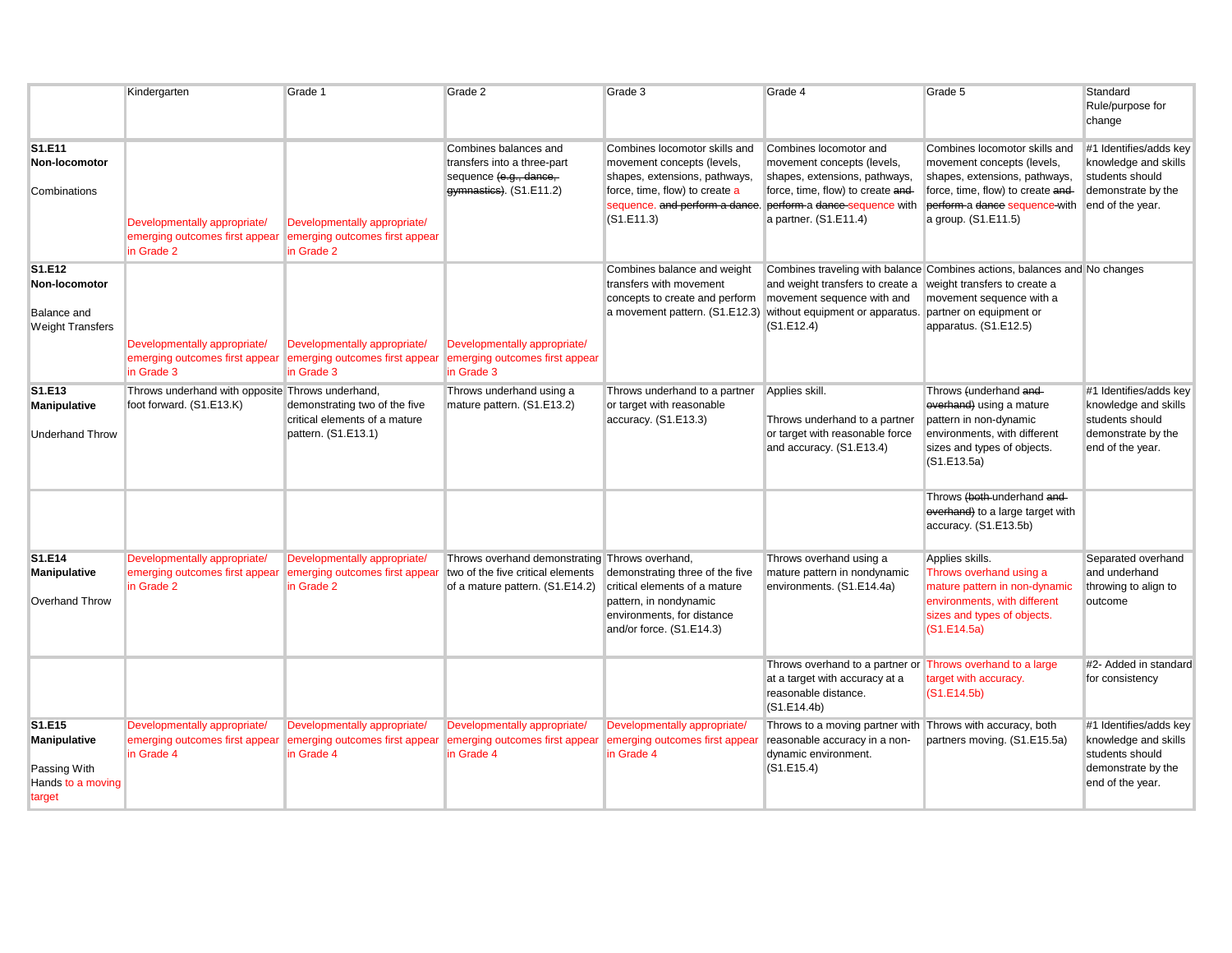|                                                                          | Kindergarten                                                                 | Grade 1                                                                               | Grade 2                                                                                                   | Grade 3                                                                                                                                      | Grade 4                                                                                                                                                                                                             | Grade 5                                                                                                                                                                                   | Standard<br>Rule/purpose for<br>change                                                                      |
|--------------------------------------------------------------------------|------------------------------------------------------------------------------|---------------------------------------------------------------------------------------|-----------------------------------------------------------------------------------------------------------|----------------------------------------------------------------------------------------------------------------------------------------------|---------------------------------------------------------------------------------------------------------------------------------------------------------------------------------------------------------------------|-------------------------------------------------------------------------------------------------------------------------------------------------------------------------------------------|-------------------------------------------------------------------------------------------------------------|
| S1.E11<br>Non-locomotor<br>Combinations                                  | Developmentally appropriate/<br>emerging outcomes first appear<br>in Grade 2 | Developmentally appropriate/<br>emerging outcomes first appear<br>in Grade 2          | Combines balances and<br>transfers into a three-part<br>sequence (e.g., dance,<br>gymnastics). (S1.E11.2) | Combines locomotor skills and<br>movement concepts (levels,<br>shapes, extensions, pathways,<br>force, time, flow) to create a<br>(S1.E11.3) | Combines locomotor and<br>movement concepts (levels,<br>shapes, extensions, pathways,<br>force, time, flow) to create and-<br>sequence, and perform a dance. perform a dance-sequence with<br>a partner. (S1.E11.4) | Combines locomotor skills and<br>movement concepts (levels,<br>shapes, extensions, pathways,<br>force, time, flow) to create and-<br>perform a dance sequence-with<br>a group. (S1.E11.5) | #1 Identifies/adds key<br>knowledge and skills<br>students should<br>demonstrate by the<br>end of the year. |
| S1.E12<br>Non-locomotor<br><b>Balance and</b><br><b>Weight Transfers</b> | Developmentally appropriate/<br>emerging outcomes first appear<br>in Grade 3 | Developmentally appropriate/<br>emerging outcomes first appear<br>in Grade 3          | Developmentally appropriate/<br>emerging outcomes first appear<br>in Grade 3                              | Combines balance and weight<br>transfers with movement<br>concepts to create and perform movement sequence with and                          | Combines traveling with balance Combines actions, balances and No changes<br>and weight transfers to create a<br>a movement pattern. (S1.E12.3) without equipment or apparatus.<br>(S1.E12.4)                       | weight transfers to create a<br>movement sequence with a<br>partner on equipment or<br>apparatus. (S1.E12.5)                                                                              |                                                                                                             |
| S1.E13<br><b>Manipulative</b><br><b>Underhand Throw</b>                  | Throws underhand with opposite Throws underhand,<br>foot forward. (S1.E13.K) | demonstrating two of the five<br>critical elements of a mature<br>pattern. (S1.E13.1) | Throws underhand using a<br>mature pattern. (S1.E13.2)                                                    | Throws underhand to a partner<br>or target with reasonable<br>accuracy. (S1.E13.3)                                                           | Applies skill.<br>Throws underhand to a partner<br>or target with reasonable force<br>and accuracy. (S1.E13.4)                                                                                                      | Throws (underhand and<br>everhand) using a mature<br>pattern in non-dynamic<br>environments, with different<br>sizes and types of objects.<br>(S1.E13.5a)                                 | #1 Identifies/adds key<br>knowledge and skills<br>students should<br>demonstrate by the<br>end of the year. |
|                                                                          |                                                                              |                                                                                       |                                                                                                           |                                                                                                                                              |                                                                                                                                                                                                                     | Throws (both-underhand and-<br>everhand) to a large target with<br>accuracy. (S1.E13.5b)                                                                                                  |                                                                                                             |
| S1.E14<br>Manipulative                                                   | Developmentally appropriate/<br>emerging outcomes first appear               | Developmentally appropriate/<br>emerging outcomes first appear                        | Throws overhand demonstrating Throws overhand,<br>two of the five critical elements                       | demonstrating three of the five                                                                                                              | Throws overhand using a<br>mature pattern in nondynamic                                                                                                                                                             | Applies skills.<br>Throws overhand using a                                                                                                                                                | Separated overhand<br>and underhand                                                                         |
| <b>Overhand Throw</b>                                                    | in Grade 2                                                                   | in Grade 2                                                                            | of a mature pattern. (S1.E14.2)                                                                           | critical elements of a mature<br>pattern, in nondynamic<br>environments, for distance<br>and/or force. (S1.E14.3)                            | environments. (S1.E14.4a)                                                                                                                                                                                           | mature pattern in non-dynamic<br>environments, with different<br>sizes and types of objects.<br>(S1.E14.5a)                                                                               | throwing to align to<br>outcome                                                                             |
|                                                                          |                                                                              |                                                                                       |                                                                                                           |                                                                                                                                              | Throws overhand to a partner or Throws overhand to a large<br>at a target with accuracy at a<br>reasonable distance.<br>(S1.E14.4b)                                                                                 | target with accuracy.<br>(S1.E14.5b)                                                                                                                                                      | #2- Added in standard<br>for consistency                                                                    |
| S1.E15<br>Manipulative<br>Passing With<br>Hands to a moving<br>target    | Developmentally appropriate/<br>emerging outcomes first appear<br>in Grade 4 | Developmentally appropriate/<br>emerging outcomes first appear<br>in Grade 4          | Developmentally appropriate/<br>emerging outcomes first appear<br>in Grade 4                              | Developmentally appropriate/<br>emerging outcomes first appear<br>in Grade 4                                                                 | Throws to a moving partner with Throws with accuracy, both<br>reasonable accuracy in a non-<br>dynamic environment.<br>(S1.E15.4)                                                                                   | partners moving. (S1.E15.5a)                                                                                                                                                              | #1 Identifies/adds key<br>knowledge and skills<br>students should<br>demonstrate by the<br>end of the year. |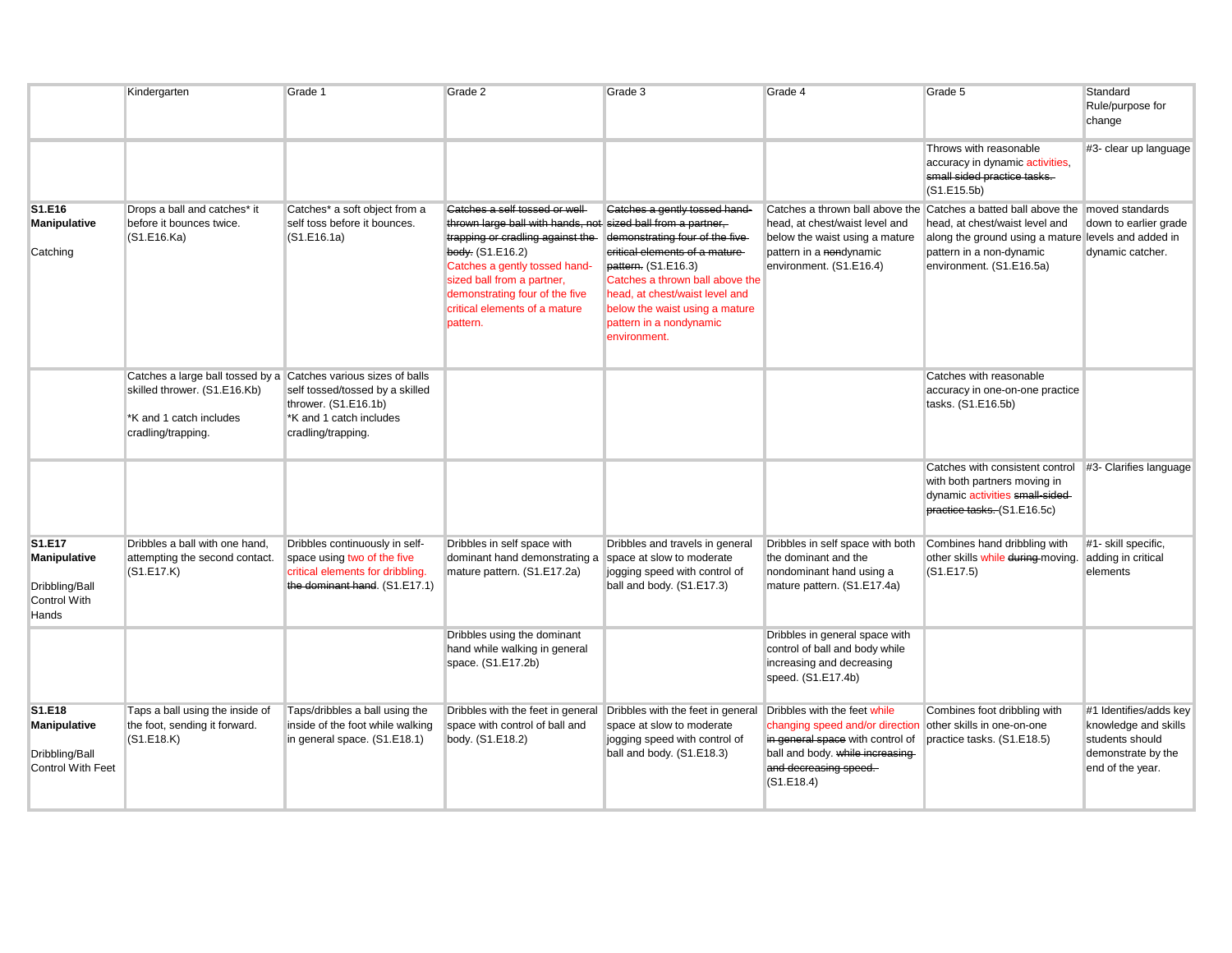|                                                                             | Kindergarten                                                                                                                                    | Grade 1                                                                                                                            | Grade 2                                                                                                                                                                                                                                                                                              | Grade 3                                                                                                                                                                                                                                                                     | Grade 4                                                                                                                                                                        | Grade 5                                                                                                                                                                                                                          | Standard<br>Rule/purpose for<br>change                                                                      |
|-----------------------------------------------------------------------------|-------------------------------------------------------------------------------------------------------------------------------------------------|------------------------------------------------------------------------------------------------------------------------------------|------------------------------------------------------------------------------------------------------------------------------------------------------------------------------------------------------------------------------------------------------------------------------------------------------|-----------------------------------------------------------------------------------------------------------------------------------------------------------------------------------------------------------------------------------------------------------------------------|--------------------------------------------------------------------------------------------------------------------------------------------------------------------------------|----------------------------------------------------------------------------------------------------------------------------------------------------------------------------------------------------------------------------------|-------------------------------------------------------------------------------------------------------------|
|                                                                             |                                                                                                                                                 |                                                                                                                                    |                                                                                                                                                                                                                                                                                                      |                                                                                                                                                                                                                                                                             |                                                                                                                                                                                | Throws with reasonable<br>accuracy in dynamic activities,<br>small sided practice tasks.<br>(S1.E15.5b)                                                                                                                          | #3- clear up language                                                                                       |
| S1.E16<br><b>Manipulative</b><br>Catching                                   | Drops a ball and catches* it<br>before it bounces twice.<br>(S1.E16.Ka)                                                                         | Catches* a soft object from a<br>self toss before it bounces.<br>(S1.E16.1a)                                                       | Catches a self tossed or well-<br>thrown large ball with hands, not sized ball from a partner,<br>trapping or cradling against the<br>body. (S1.E16.2)<br>Catches a gently tossed hand-<br>sized ball from a partner,<br>demonstrating four of the five<br>critical elements of a mature<br>pattern. | Catches a gently tossed hand-<br>demonstrating four of the five-<br>critical elements of a mature-<br>pattern. (S1.E16.3)<br>Catches a thrown ball above the<br>head, at chest/waist level and<br>below the waist using a mature<br>pattern in a nondynamic<br>environment. | head, at chest/waist level and<br>below the waist using a mature<br>pattern in a nondynamic<br>environment. (S1.E16.4)                                                         | Catches a thrown ball above the Catches a batted ball above the moved standards<br>head, at chest/waist level and<br>along the ground using a mature levels and added in<br>pattern in a non-dynamic<br>environment. (S1.E16.5a) | down to earlier grade<br>dynamic catcher.                                                                   |
|                                                                             | Catches a large ball tossed by a Catches various sizes of balls<br>skilled thrower. (S1.E16.Kb)<br>K and 1 catch includes<br>cradling/trapping. | self tossed/tossed by a skilled<br>thrower. (S1.E16.1b)<br>*K and 1 catch includes<br>cradling/trapping.                           |                                                                                                                                                                                                                                                                                                      |                                                                                                                                                                                                                                                                             |                                                                                                                                                                                | Catches with reasonable<br>accuracy in one-on-one practice<br>tasks. (S1.E16.5b)                                                                                                                                                 |                                                                                                             |
|                                                                             |                                                                                                                                                 |                                                                                                                                    |                                                                                                                                                                                                                                                                                                      |                                                                                                                                                                                                                                                                             |                                                                                                                                                                                | Catches with consistent control #3- Clarifies language<br>with both partners moving in<br>dynamic activities small-sided-<br>practice tasks. (S1.E16.5c)                                                                         |                                                                                                             |
| S1.E17<br><b>Manipulative</b><br>Dribbling/Ball<br>Control With<br>Hands    | Dribbles a ball with one hand,<br>attempting the second contact.<br>(S1.E17.K)                                                                  | Dribbles continuously in self-<br>space using two of the five<br>critical elements for dribbling.<br>the dominant hand. (S1.E17.1) | Dribbles in self space with<br>dominant hand demonstrating a space at slow to moderate<br>mature pattern. (S1.E17.2a)                                                                                                                                                                                | Dribbles and travels in general<br>jogging speed with control of<br>ball and body. (S1.E17.3)                                                                                                                                                                               | Dribbles in self space with both<br>the dominant and the<br>nondominant hand using a<br>mature pattern. (S1.E17.4a)                                                            | Combines hand dribbling with<br>other skills while during-moving.<br>(S1.E17.5)                                                                                                                                                  | #1- skill specific.<br>adding in critical<br>elements                                                       |
|                                                                             |                                                                                                                                                 |                                                                                                                                    | Dribbles using the dominant<br>hand while walking in general<br>space. (S1.E17.2b)                                                                                                                                                                                                                   |                                                                                                                                                                                                                                                                             | Dribbles in general space with<br>control of ball and body while<br>increasing and decreasing<br>speed. (S1.E17.4b)                                                            |                                                                                                                                                                                                                                  |                                                                                                             |
| S1.E18<br><b>Manipulative</b><br>Dribbling/Ball<br><b>Control With Feet</b> | Taps a ball using the inside of<br>the foot, sending it forward.<br>(S1.E18.K)                                                                  | Taps/dribbles a ball using the<br>inside of the foot while walking<br>in general space. (S1.E18.1)                                 | space with control of ball and<br>body. (S1.E18.2)                                                                                                                                                                                                                                                   | Dribbles with the feet in general Dribbles with the feet in general<br>space at slow to moderate<br>jogging speed with control of<br>ball and body. (S1.E18.3)                                                                                                              | Dribbles with the feet while<br>changing speed and/or direction<br>in general space with control of<br>ball and body. while increasing-<br>and decreasing speed.<br>(S1.E18.4) | Combines foot dribbling with<br>other skills in one-on-one<br>practice tasks. (S1.E18.5)                                                                                                                                         | #1 Identifies/adds key<br>knowledge and skills<br>students should<br>demonstrate by the<br>end of the year. |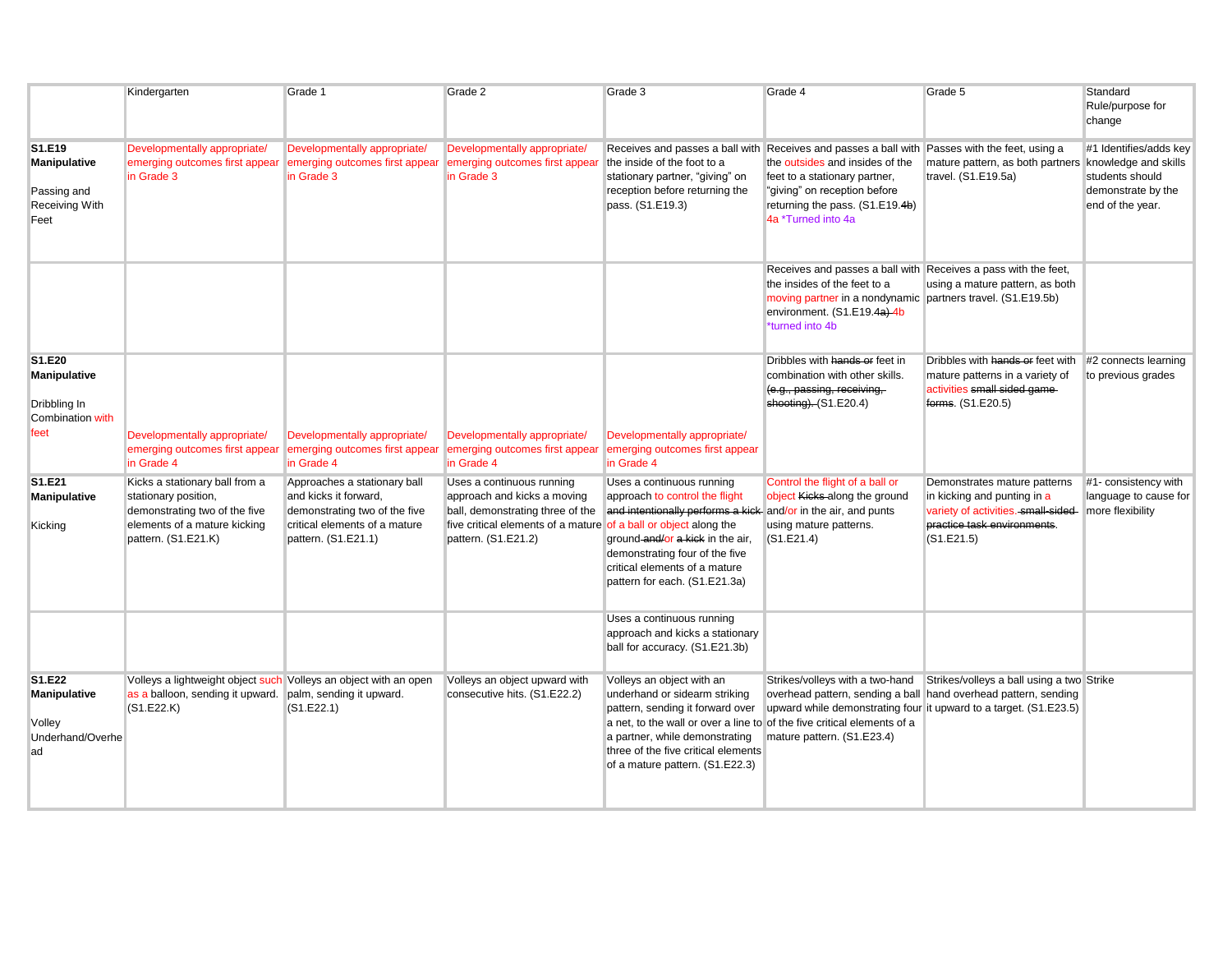|                                                                        | Kindergarten                                                                                                                                   | Grade 1                                                                                                                                        | Grade 2                                                                                                                                                                                 | Grade 3                                                                                                                                                                                                                                                                               | Grade 4                                                                                                                                                                                                                                                    | Grade 5                                                                                                                                                                                                           | Standard<br>Rule/purpose for<br>change                                                                      |
|------------------------------------------------------------------------|------------------------------------------------------------------------------------------------------------------------------------------------|------------------------------------------------------------------------------------------------------------------------------------------------|-----------------------------------------------------------------------------------------------------------------------------------------------------------------------------------------|---------------------------------------------------------------------------------------------------------------------------------------------------------------------------------------------------------------------------------------------------------------------------------------|------------------------------------------------------------------------------------------------------------------------------------------------------------------------------------------------------------------------------------------------------------|-------------------------------------------------------------------------------------------------------------------------------------------------------------------------------------------------------------------|-------------------------------------------------------------------------------------------------------------|
| S1.E19<br>Manipulative<br>Passing and<br><b>Receiving With</b><br>Feet | Developmentally appropriate/<br>emerging outcomes first appear<br>in Grade 3                                                                   | Developmentally appropriate/<br>emerging outcomes first appear<br>in Grade 3                                                                   | Developmentally appropriate/<br>emerging outcomes first appear<br>in Grade 3                                                                                                            | the inside of the foot to a<br>stationary partner, "giving" on<br>reception before returning the<br>pass. (S1.E19.3)                                                                                                                                                                  | Receives and passes a ball with Receives and passes a ball with Passes with the feet, using a<br>the outsides and insides of the<br>feet to a stationary partner,<br>"giving" on reception before<br>returning the pass. (S1.E19.4b)<br>4a *Turned into 4a | mature pattern, as both partners<br>travel. (S1.E19.5a)                                                                                                                                                           | #1 Identifies/adds key<br>knowledge and skills<br>students should<br>demonstrate by the<br>end of the year. |
|                                                                        |                                                                                                                                                |                                                                                                                                                |                                                                                                                                                                                         |                                                                                                                                                                                                                                                                                       | Receives and passes a ball with Receives a pass with the feet,<br>the insides of the feet to a<br>moving partner in a nondynamic partners travel. (S1.E19.5b)<br>environment. (S1.E19.4a)-4b<br>*turned into 4b                                            | using a mature pattern, as both                                                                                                                                                                                   |                                                                                                             |
| S1.E20<br>Manipulative<br>Dribbling In<br>Combination with             |                                                                                                                                                |                                                                                                                                                |                                                                                                                                                                                         |                                                                                                                                                                                                                                                                                       | Dribbles with hands or feet in<br>combination with other skills.<br>(e.g., passing, receiving,<br>shooting). $(S1.E20.4)$                                                                                                                                  | Dribbles with hands or feet with<br>mature patterns in a variety of<br>activities small sided game-<br>forms. (S1.E20.5)                                                                                          | #2 connects learning<br>to previous grades                                                                  |
| feet                                                                   | Developmentally appropriate/<br>emerging outcomes first appear<br>in Grade 4                                                                   | Developmentally appropriate/<br>emerging outcomes first appear<br>in Grade 4                                                                   | Developmentally appropriate/<br>emerging outcomes first appear<br>in Grade 4                                                                                                            | Developmentally appropriate/<br>emerging outcomes first appear<br>in Grade 4                                                                                                                                                                                                          |                                                                                                                                                                                                                                                            |                                                                                                                                                                                                                   |                                                                                                             |
| S1.E21<br>Manipulative<br>Kicking                                      | Kicks a stationary ball from a<br>stationary position,<br>demonstrating two of the five<br>elements of a mature kicking<br>pattern. (S1.E21.K) | Approaches a stationary ball<br>and kicks it forward,<br>demonstrating two of the five<br>critical elements of a mature<br>pattern. (S1.E21.1) | Uses a continuous running<br>approach and kicks a moving<br>ball, demonstrating three of the<br>five critical elements of a mature of a ball or object along the<br>pattern. (S1.E21.2) | Uses a continuous running<br>approach to control the flight<br>and intentionally performs a kick and/or in the air, and punts<br>ground-and/or a kick in the air,<br>demonstrating four of the five<br>critical elements of a mature<br>pattern for each. (S1.E21.3a)                 | Control the flight of a ball or<br>object Kicks along the ground<br>using mature patterns.<br>(S1.E21.4)                                                                                                                                                   | Demonstrates mature patterns<br>in kicking and punting in a<br>variety of activities.-small-sided-<br>practice task environments.<br>(S1.E21.5)                                                                   | #1- consistency with<br>language to cause for<br>more flexibility                                           |
|                                                                        |                                                                                                                                                |                                                                                                                                                |                                                                                                                                                                                         | Uses a continuous running<br>approach and kicks a stationary<br>ball for accuracy. (S1.E21.3b)                                                                                                                                                                                        |                                                                                                                                                                                                                                                            |                                                                                                                                                                                                                   |                                                                                                             |
| S1.E22<br>Manipulative<br>Volley<br>Underhand/Overhe<br>ad             | Volleys a lightweight object such Volleys an object with an open<br>as a balloon, sending it upward. palm, sending it upward.<br>(S1.E22.K)    | (S1.E22.1)                                                                                                                                     | Volleys an object upward with<br>consecutive hits. (S1.E22.2)                                                                                                                           | Volleys an object with an<br>underhand or sidearm striking<br>pattern, sending it forward over<br>a net, to the wall or over a line to of the five critical elements of a<br>a partner, while demonstrating<br>three of the five critical elements<br>of a mature pattern. (S1.E22.3) | mature pattern. (S1.E23.4)                                                                                                                                                                                                                                 | Strikes/volleys with a two-hand Strikes/volleys a ball using a two Strike<br>overhead pattern, sending a ball hand overhead pattern, sending<br>upward while demonstrating four it upward to a target. (S1.E23.5) |                                                                                                             |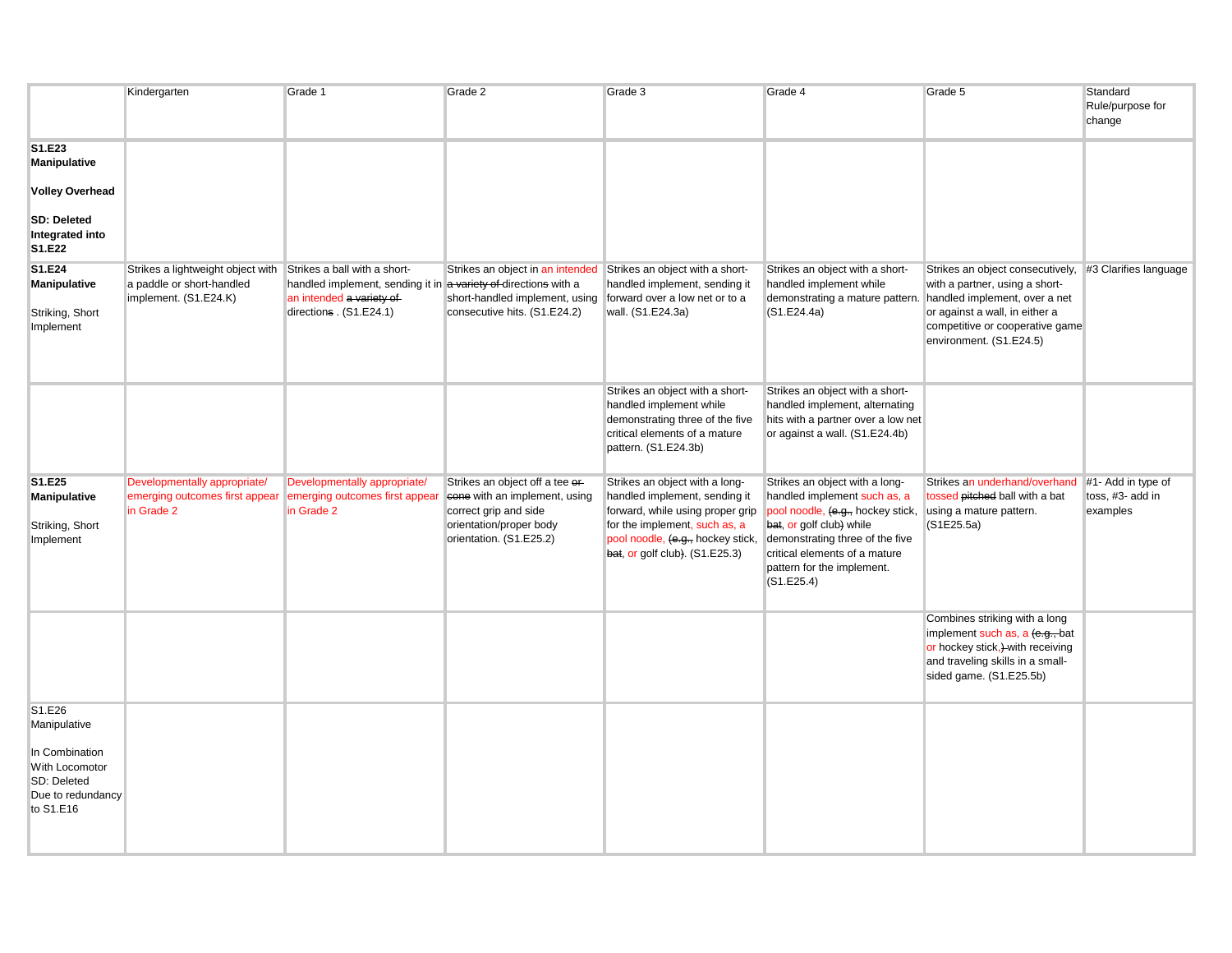|                                                                                                             | Kindergarten                                                                            | Grade 1                                                                                                                                                | Grade 2                                                                                                                                                           | Grade 3                                                                                                                                                                                                     | Grade 4                                                                                                                                                                                                                                         | Grade 5                                                                                                                                                                                             | Standard<br>Rule/purpose for<br>change             |
|-------------------------------------------------------------------------------------------------------------|-----------------------------------------------------------------------------------------|--------------------------------------------------------------------------------------------------------------------------------------------------------|-------------------------------------------------------------------------------------------------------------------------------------------------------------------|-------------------------------------------------------------------------------------------------------------------------------------------------------------------------------------------------------------|-------------------------------------------------------------------------------------------------------------------------------------------------------------------------------------------------------------------------------------------------|-----------------------------------------------------------------------------------------------------------------------------------------------------------------------------------------------------|----------------------------------------------------|
| S1.E23<br>Manipulative<br><b>Volley Overhead</b>                                                            |                                                                                         |                                                                                                                                                        |                                                                                                                                                                   |                                                                                                                                                                                                             |                                                                                                                                                                                                                                                 |                                                                                                                                                                                                     |                                                    |
| <b>SD: Deleted</b><br>Integrated into<br>S1.E22                                                             |                                                                                         |                                                                                                                                                        |                                                                                                                                                                   |                                                                                                                                                                                                             |                                                                                                                                                                                                                                                 |                                                                                                                                                                                                     |                                                    |
| S1.E24<br><b>Manipulative</b><br>Striking, Short<br>Implement                                               | Strikes a lightweight object with<br>a paddle or short-handled<br>implement. (S1.E24.K) | Strikes a ball with a short-<br>handled implement, sending it in a variety of directions with a<br>an intended a variety of<br>directions . (S1.E24.1) | Strikes an object in an intended Strikes an object with a short-<br>short-handled implement, using forward over a low net or to a<br>consecutive hits. (S1.E24.2) | handled implement, sending it<br>wall. (S1.E24.3a)                                                                                                                                                          | Strikes an object with a short-<br>handled implement while<br>demonstrating a mature pattern.<br>(S1.E24.4a)                                                                                                                                    | Strikes an object consecutively,<br>with a partner, using a short-<br>handled implement, over a net<br>or against a wall, in either a<br>competitive or cooperative game<br>environment. (S1.E24.5) | #3 Clarifies language                              |
|                                                                                                             |                                                                                         |                                                                                                                                                        |                                                                                                                                                                   | Strikes an object with a short-<br>handled implement while<br>demonstrating three of the five<br>critical elements of a mature<br>pattern. (S1.E24.3b)                                                      | Strikes an object with a short-<br>handled implement, alternating<br>hits with a partner over a low net<br>or against a wall. (S1.E24.4b)                                                                                                       |                                                                                                                                                                                                     |                                                    |
| S1.E25<br><b>Manipulative</b><br>Striking, Short<br>Implement                                               | Developmentally appropriate/<br>emerging outcomes first appear<br>in Grade 2            | Developmentally appropriate/<br>emerging outcomes first appear<br>in Grade 2                                                                           | Strikes an object off a tee or-<br>cone with an implement, using<br>correct grip and side<br>orientation/proper body<br>orientation. (S1.E25.2)                   | Strikes an object with a long-<br>handled implement, sending it<br>forward, while using proper grip<br>for the implement, such as, a<br>pool noodle, (e.g., hockey stick,<br>bat, or golf club). (S1.E25.3) | Strikes an object with a long-<br>handled implement such as, a<br>pool noodle, (e.g., hockey stick,<br>bat, or golf club) while<br>demonstrating three of the five<br>critical elements of a mature<br>pattern for the implement.<br>(S1.E25.4) | Strikes an underhand/overhand<br>tossed pitched ball with a bat<br>using a mature pattern.<br>(S1E25.5a)                                                                                            | #1- Add in type of<br>toss, #3- add in<br>examples |
|                                                                                                             |                                                                                         |                                                                                                                                                        |                                                                                                                                                                   |                                                                                                                                                                                                             |                                                                                                                                                                                                                                                 | Combines striking with a long<br>implement such as, a (e.g., bat<br>or hockey stick,)-with receiving<br>and traveling skills in a small-<br>sided game. (S1.E25.5b)                                 |                                                    |
| S1.E26<br>Manipulative<br>In Combination<br>With Locomotor<br>SD: Deleted<br>Due to redundancy<br>to S1.E16 |                                                                                         |                                                                                                                                                        |                                                                                                                                                                   |                                                                                                                                                                                                             |                                                                                                                                                                                                                                                 |                                                                                                                                                                                                     |                                                    |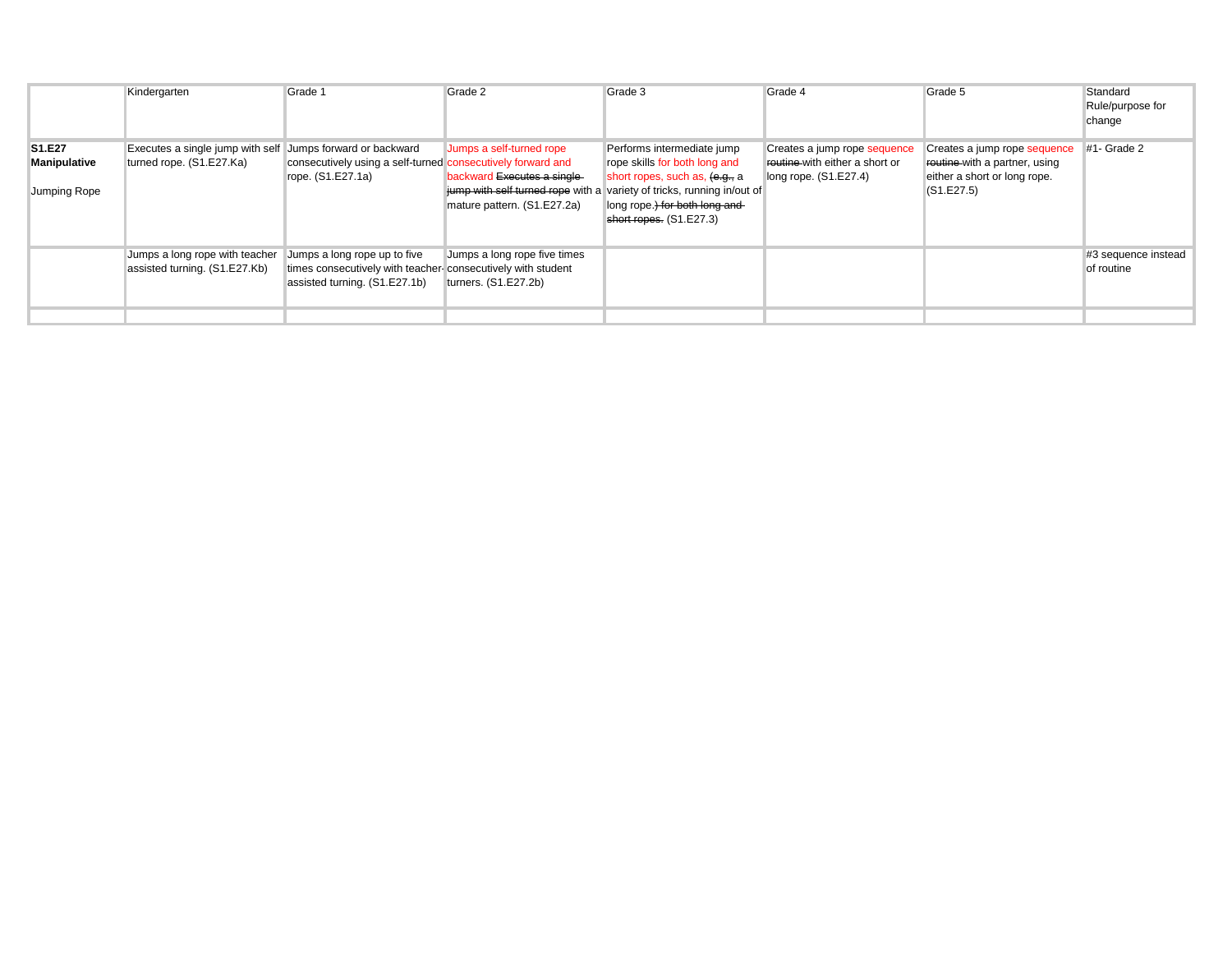|                                               | Kindergarten                                                                           | Grade 1                                                                                                                      | Grade 2                                                                                | Grade 3                                                                                                                                                                                                                             | Grade 4                                                                                 | Grade 5                                                                                                     | Standard<br>Rule/purpose for<br>change |
|-----------------------------------------------|----------------------------------------------------------------------------------------|------------------------------------------------------------------------------------------------------------------------------|----------------------------------------------------------------------------------------|-------------------------------------------------------------------------------------------------------------------------------------------------------------------------------------------------------------------------------------|-----------------------------------------------------------------------------------------|-------------------------------------------------------------------------------------------------------------|----------------------------------------|
| S1.E27<br><b>Manipulative</b><br>Jumping Rope | Executes a single jump with self Jumps forward or backward<br>turned rope. (S1.E27.Ka) | consecutively using a self-turned consecutively forward and<br>rope. (S1.E27.1a)                                             | Jumps a self-turned rope<br>backward Executes a single-<br>mature pattern. (S1.E27.2a) | Performs intermediate jump<br>rope skills for both long and<br>short ropes, such as, (e.g., a<br>jump with self turned rope with a variety of tricks, running in/out of<br>long rope.) for both long and<br>short ropes. (S1.E27.3) | Creates a jump rope sequence<br>routine-with either a short or<br>long rope. (S1.E27.4) | Creates a jump rope sequence<br>routine-with a partner, using<br>either a short or long rope.<br>(S1.E27.5) | #1- Grade 2                            |
|                                               | Jumps a long rope with teacher<br>assisted turning. (S1.E27.Kb)                        | Jumps a long rope up to five<br>times consecutively with teacher-consecutively with student<br>assisted turning. (S1.E27.1b) | Jumps a long rope five times<br>turners. (S1.E27.2b)                                   |                                                                                                                                                                                                                                     |                                                                                         |                                                                                                             | #3 sequence instead<br>of routine      |
|                                               |                                                                                        |                                                                                                                              |                                                                                        |                                                                                                                                                                                                                                     |                                                                                         |                                                                                                             |                                        |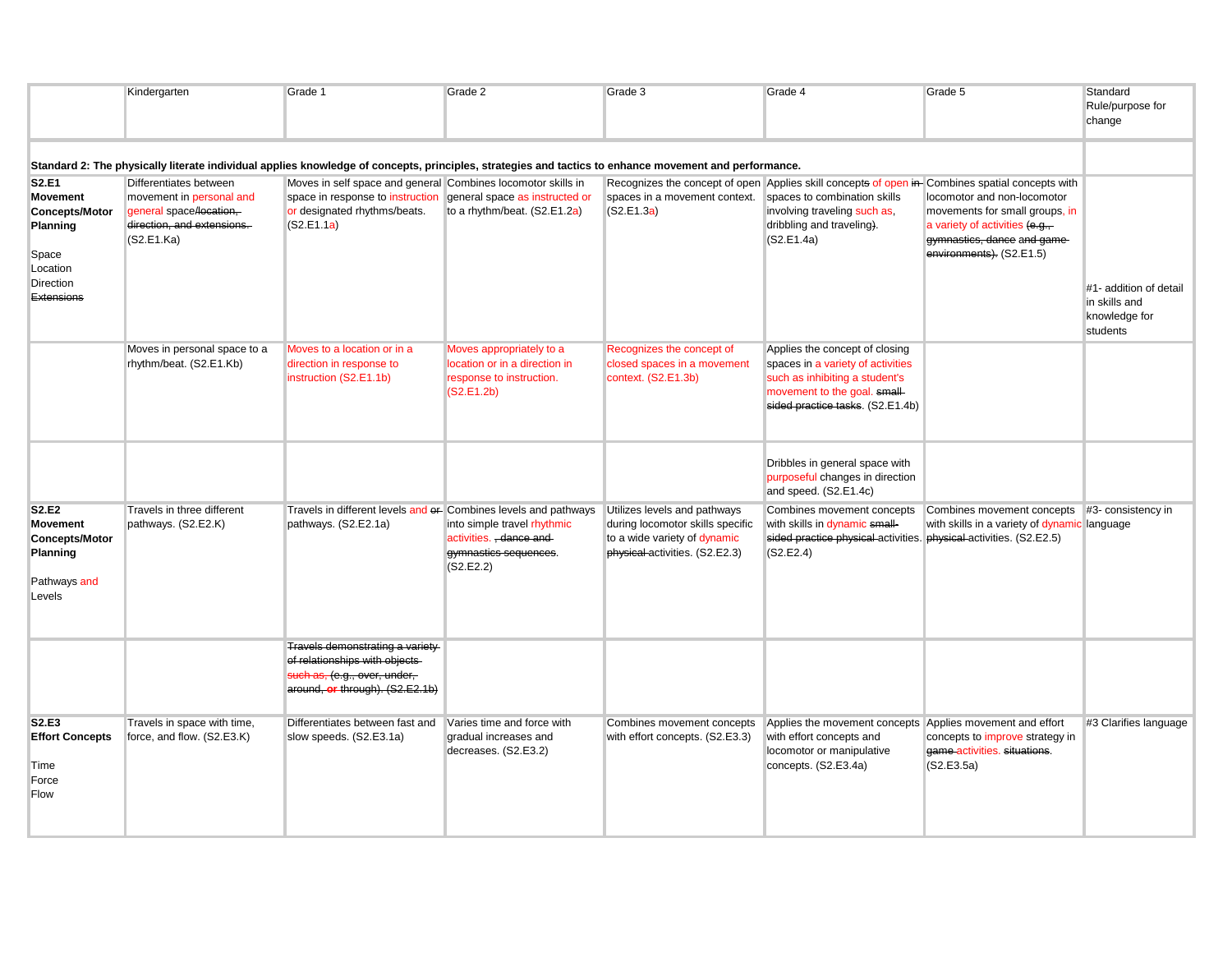|                                                                                                               | Kindergarten                                                                                                              | Grade 1                                                                                                                                                                       | Grade 2                                                                                             | Grade 3                                                                                                                            | Grade 4                                                                                                                                                                                                    | Grade 5                                                                                                                                                      | Standard<br>Rule/purpose for<br>change                               |
|---------------------------------------------------------------------------------------------------------------|---------------------------------------------------------------------------------------------------------------------------|-------------------------------------------------------------------------------------------------------------------------------------------------------------------------------|-----------------------------------------------------------------------------------------------------|------------------------------------------------------------------------------------------------------------------------------------|------------------------------------------------------------------------------------------------------------------------------------------------------------------------------------------------------------|--------------------------------------------------------------------------------------------------------------------------------------------------------------|----------------------------------------------------------------------|
|                                                                                                               |                                                                                                                           | Standard 2: The physically literate individual applies knowledge of concepts, principles, strategies and tactics to enhance movement and performance.                         |                                                                                                     |                                                                                                                                    |                                                                                                                                                                                                            |                                                                                                                                                              |                                                                      |
| S2.E1<br><b>Movement</b><br><b>Concepts/Motor</b><br>Planning<br>Space<br>Location<br>Direction<br>Extensions | Differentiates between<br>movement in personal and<br>general space/location,<br>direction, and extensions.<br>(S2.E1.Ka) | Moves in self space and general Combines locomotor skills in<br>space in response to instruction general space as instructed or<br>or designated rhythms/beats.<br>(S2.E1.1a) | to a rhythm/beat. (S2.E1.2a)                                                                        | spaces in a movement context.<br>(S2.E1.3a)                                                                                        | Recognizes the concept of open Applies skill concepts of open in Combines spatial concepts with<br>spaces to combination skills<br>involving traveling such as,<br>dribbling and traveling).<br>(S2.E1.4a) | locomotor and non-locomotor<br>movements for small groups, in<br>a variety of activities $(e.g.,$<br>gymnastics, dance and game-<br>environments). (S2.E1.5) | #1- addition of detail<br>in skills and<br>knowledge for<br>students |
|                                                                                                               | Moves in personal space to a<br>rhythm/beat. (S2.E1.Kb)                                                                   | Moves to a location or in a<br>direction in response to<br>instruction (S2.E1.1b)                                                                                             | Moves appropriately to a<br>location or in a direction in<br>response to instruction.<br>(S2.E1.2b) | Recognizes the concept of<br>closed spaces in a movement<br>context. (S2.E1.3b)                                                    | Applies the concept of closing<br>spaces in a variety of activities<br>such as inhibiting a student's<br>movement to the goal. small-<br>sided practice tasks. (S2.E1.4b)                                  |                                                                                                                                                              |                                                                      |
|                                                                                                               |                                                                                                                           |                                                                                                                                                                               |                                                                                                     |                                                                                                                                    | Dribbles in general space with<br>purposeful changes in direction<br>and speed. (S2.E1.4c)                                                                                                                 |                                                                                                                                                              |                                                                      |
| <b>S2.E2</b><br><b>Movement</b><br><b>Concepts/Motor</b><br>Planning<br>Pathways and<br>Levels                | Travels in three different<br>pathways. (S2.E2.K)                                                                         | Travels in different levels and er- Combines levels and pathways<br>pathways. (S2.E2.1a)                                                                                      | into simple travel rhythmic<br>activities. , dance and<br>gymnastics sequences.<br>(S2.E2.2)        | Utilizes levels and pathways<br>during locomotor skills specific<br>to a wide variety of dynamic<br>physical activities. (S2.E2.3) | Combines movement concepts<br>with skills in dynamic small-<br>sided practice physical activities. physical activities. (S2.E2.5)<br>(S2.E2.4)                                                             | Combines movement concepts #3- consistency in<br>with skills in a variety of dynamic language                                                                |                                                                      |
|                                                                                                               |                                                                                                                           | Travels demonstrating a variety-<br>of relationships with objects<br>such as, (e.g., over, under,<br>around, or through). (S2.E2.1b)                                          |                                                                                                     |                                                                                                                                    |                                                                                                                                                                                                            |                                                                                                                                                              |                                                                      |
| S2.E3<br><b>Effort Concepts</b><br>Time<br>Force<br>Flow                                                      | Travels in space with time,<br>force, and flow. (S2.E3.K)                                                                 | Differentiates between fast and<br>slow speeds. (S2.E3.1a)                                                                                                                    | Varies time and force with<br>gradual increases and<br>decreases. (S2.E3.2)                         | Combines movement concepts<br>with effort concepts. (S2.E3.3)                                                                      | Applies the movement concepts Applies movement and effort<br>with effort concepts and<br>locomotor or manipulative<br>concepts. (S2.E3.4a)                                                                 | concepts to improve strategy in<br>game-activities. situations.<br>(S2.E3.5a)                                                                                | #3 Clarifies language                                                |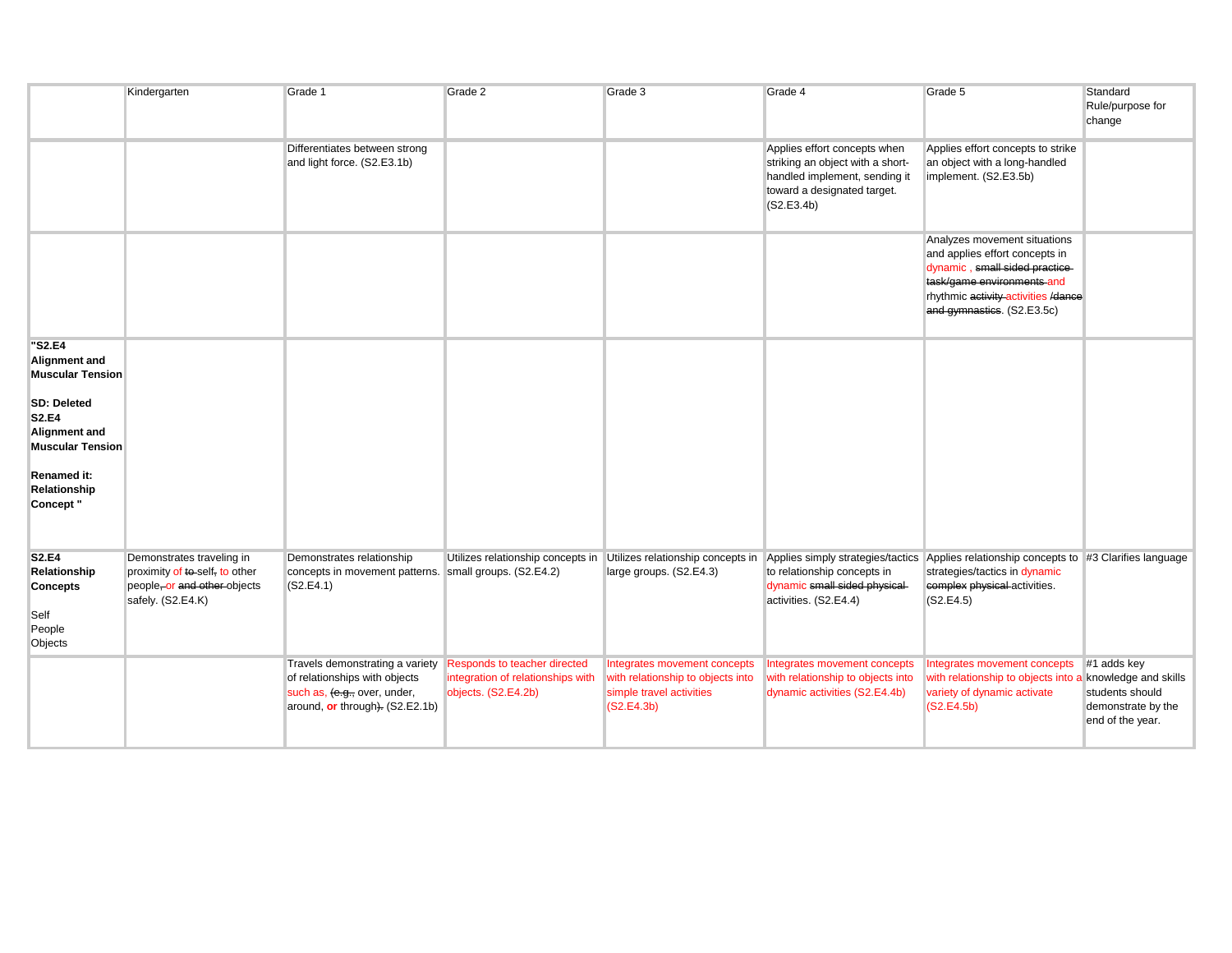|                                                                              | Kindergarten                                                                                                     | Grade 1                                                                                                                             | Grade 2                                                                                         | Grade 3                                                                                                     | Grade 4                                                                                                                                                                                                                                               | Grade 5                                                                                                                                                                                             | Standard<br>Rule/purpose for<br>change                    |
|------------------------------------------------------------------------------|------------------------------------------------------------------------------------------------------------------|-------------------------------------------------------------------------------------------------------------------------------------|-------------------------------------------------------------------------------------------------|-------------------------------------------------------------------------------------------------------------|-------------------------------------------------------------------------------------------------------------------------------------------------------------------------------------------------------------------------------------------------------|-----------------------------------------------------------------------------------------------------------------------------------------------------------------------------------------------------|-----------------------------------------------------------|
|                                                                              |                                                                                                                  | Differentiates between strong<br>and light force. (S2.E3.1b)                                                                        |                                                                                                 |                                                                                                             | Applies effort concepts when<br>striking an object with a short-<br>handled implement, sending it<br>toward a designated target.<br>(S2.E3.4b)                                                                                                        | Applies effort concepts to strike<br>an object with a long-handled<br>implement. (S2.E3.5b)                                                                                                         |                                                           |
|                                                                              |                                                                                                                  |                                                                                                                                     |                                                                                                 |                                                                                                             |                                                                                                                                                                                                                                                       | Analyzes movement situations<br>and applies effort concepts in<br>dynamic, small sided practice-<br>task/game environments and<br>rhythmic activity activities /dance<br>and gymnastics. (S2.E3.5c) |                                                           |
| "S2.E4<br><b>Alignment and</b><br><b>Muscular Tension</b><br>SD: Deleted     |                                                                                                                  |                                                                                                                                     |                                                                                                 |                                                                                                             |                                                                                                                                                                                                                                                       |                                                                                                                                                                                                     |                                                           |
| <b>S2.E4</b><br>Alignment and<br><b>Muscular Tension</b>                     |                                                                                                                  |                                                                                                                                     |                                                                                                 |                                                                                                             |                                                                                                                                                                                                                                                       |                                                                                                                                                                                                     |                                                           |
| <b>Renamed it:</b><br>Relationship<br>Concept "                              |                                                                                                                  |                                                                                                                                     |                                                                                                 |                                                                                                             |                                                                                                                                                                                                                                                       |                                                                                                                                                                                                     |                                                           |
| <b>S2.E4</b><br>Relationship<br><b>Concepts</b><br>Self<br>People<br>Objects | Demonstrates traveling in<br>proximity of to-self, to other<br>people, or and other objects<br>safely. (S2.E4.K) | Demonstrates relationship<br>concepts in movement patterns. small groups. (S2.E4.2)<br>(S2.E4.1)                                    |                                                                                                 | large groups. (S2.E4.3)                                                                                     | Utilizes relationship concepts in Utilizes relationship concepts in Applies simply strategies/tactics Applies relationship concepts to #3 Clarifies language<br>to relationship concepts in<br>dynamic small sided physical-<br>activities. (S2.E4.4) | strategies/tactics in dynamic<br>complex physical activities.<br>(S2.E4.5)                                                                                                                          |                                                           |
|                                                                              |                                                                                                                  | Travels demonstrating a variety<br>of relationships with objects<br>such as, (e.g., over, under,<br>around, or through). (S2.E2.1b) | <b>Responds to teacher directed</b><br>integration of relationships with<br>objects. (S2.E4.2b) | Integrates movement concepts<br>with relationship to objects into<br>simple travel activities<br>(S2.E4.3b) | Integrates movement concepts<br>with relationship to objects into<br>dynamic activities (S2.E4.4b)                                                                                                                                                    | Integrates movement concepts #1 adds key<br>with relationship to objects into a knowledge and skills<br>variety of dynamic activate<br>(S2.E4.5b)                                                   | students should<br>demonstrate by the<br>end of the year. |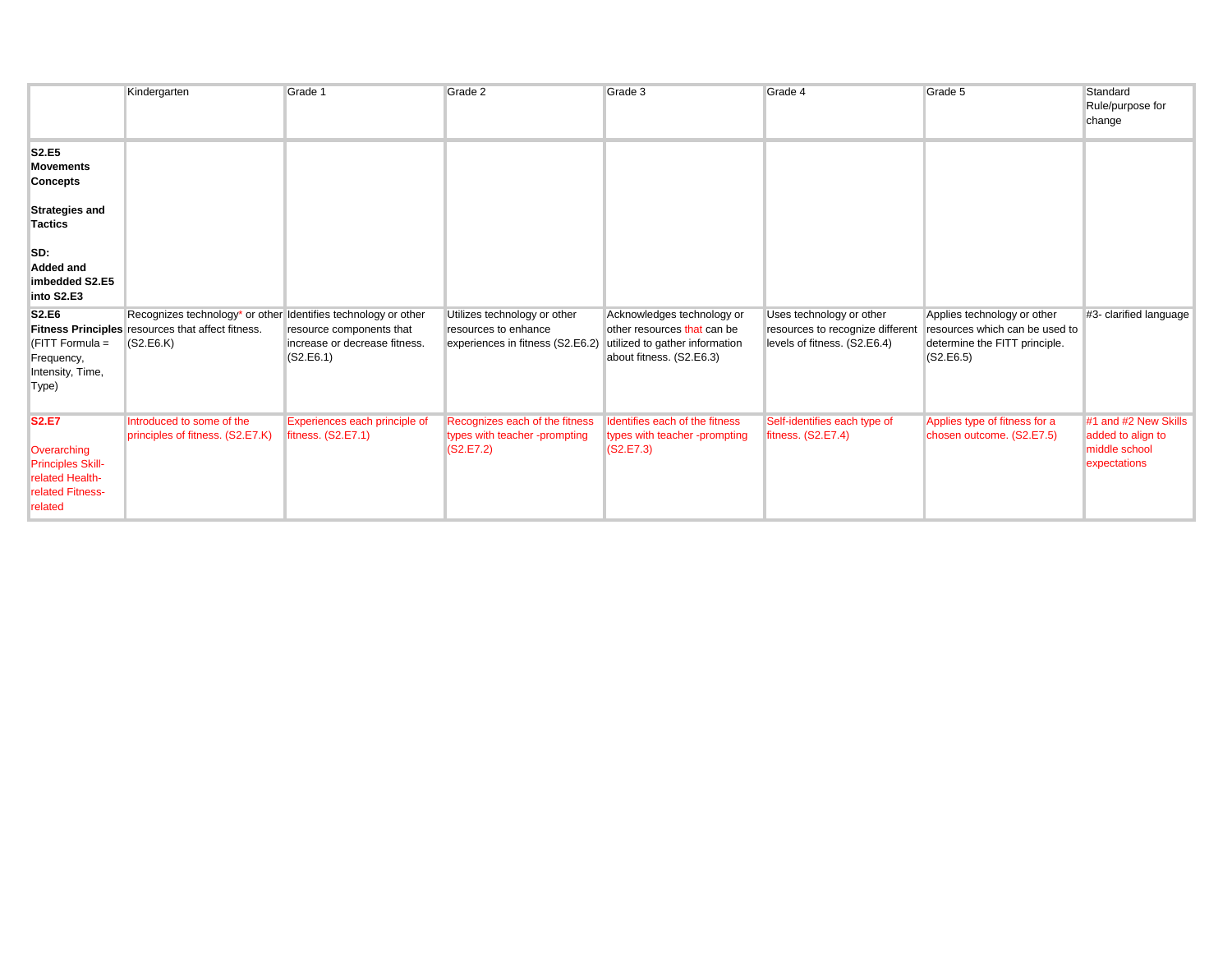|                                                                                                           | Kindergarten                                                                                                                     | Grade 1                                                                | Grade 2                                                                                  | Grade 3                                                                                                                 | Grade 4                                                                                      | Grade 5                                                                                                     | Standard<br>Rule/purpose for<br>change                                     |
|-----------------------------------------------------------------------------------------------------------|----------------------------------------------------------------------------------------------------------------------------------|------------------------------------------------------------------------|------------------------------------------------------------------------------------------|-------------------------------------------------------------------------------------------------------------------------|----------------------------------------------------------------------------------------------|-------------------------------------------------------------------------------------------------------------|----------------------------------------------------------------------------|
| <b>S2.E5</b><br><b>Movements</b><br><b>Concepts</b><br><b>Strategies and</b><br>Tactics                   |                                                                                                                                  |                                                                        |                                                                                          |                                                                                                                         |                                                                                              |                                                                                                             |                                                                            |
| SD:<br>Added and<br>imbedded S2.E5<br>into S2.E3                                                          |                                                                                                                                  |                                                                        |                                                                                          |                                                                                                                         |                                                                                              |                                                                                                             |                                                                            |
| <b>S2.E6</b><br>$FITT$ Formula =<br>Frequency,<br>Intensity, Time,<br>Type)                               | Recognizes technology* or other Identifies technology or other<br>Fitness Principles resources that affect fitness.<br>(S2.E6.K) | resource components that<br>increase or decrease fitness.<br>(S2.E6.1) | Utilizes technology or other<br>resources to enhance<br>experiences in fitness (S2.E6.2) | Acknowledges technology or<br>other resources that can be<br>utilized to gather information<br>about fitness. (S2.E6.3) | Uses technology or other<br>resources to recognize different<br>levels of fitness. (S2.E6.4) | Applies technology or other<br>resources which can be used to<br>determine the FITT principle.<br>(S2.E6.5) | #3- clarified language                                                     |
| <b>S2.E7</b><br>Overarching<br><b>Principles Skill-</b><br>related Health-<br>related Fitness-<br>related | Introduced to some of the<br>principles of fitness. (S2.E7.K)                                                                    | Experiences each principle of<br>fitness. (S2.E7.1)                    | Recognizes each of the fitness<br>types with teacher -prompting<br>(S2.E7.2)             | Identifies each of the fitness<br>types with teacher -prompting<br>(S2.E7.3)                                            | Self-identifies each type of<br>fitness. (S2.E7.4)                                           | Applies type of fitness for a<br>chosen outcome. (S2.E7.5)                                                  | #1 and #2 New Skills<br>added to align to<br>middle school<br>expectations |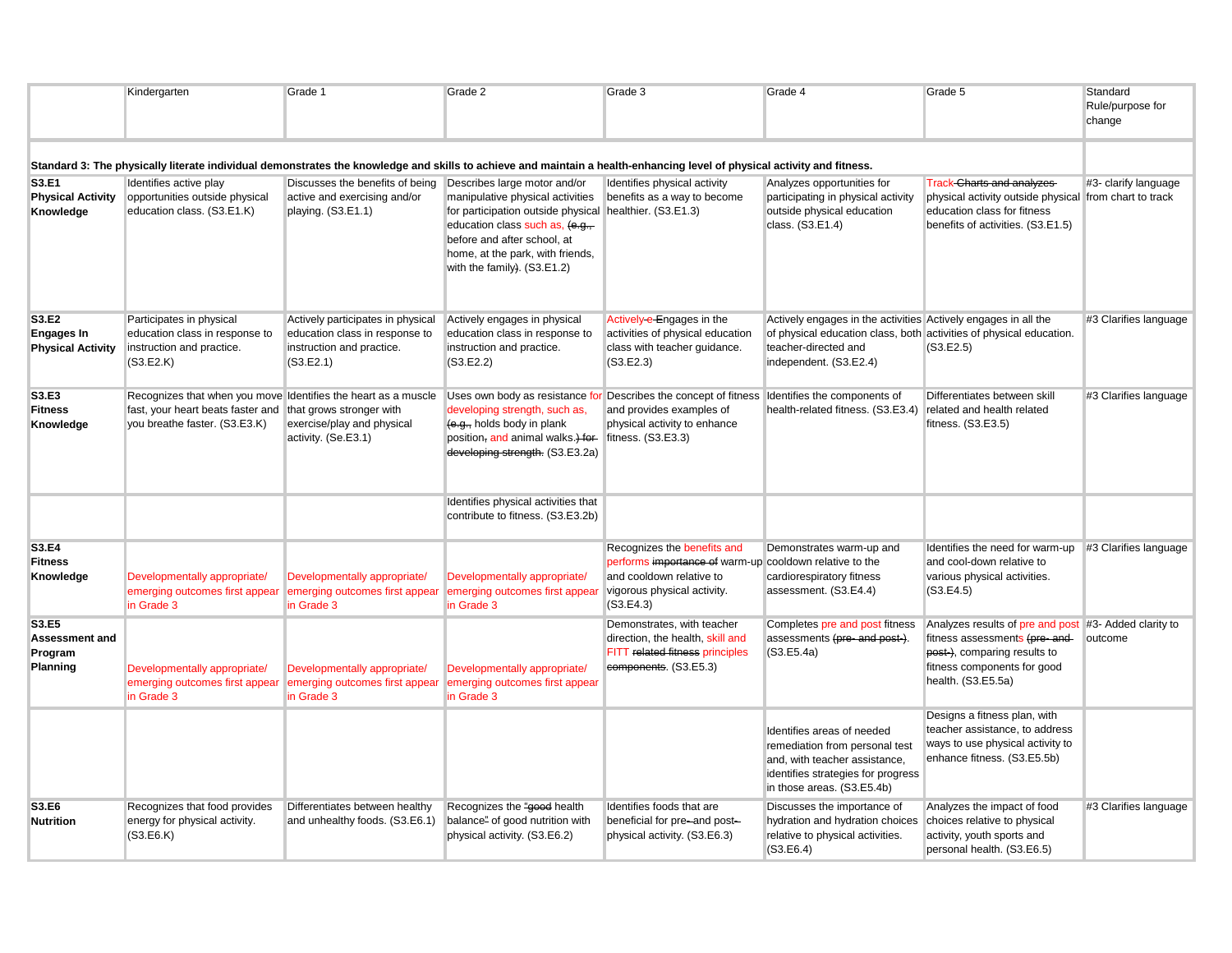|                                                        | Kindergarten                                                                                                                         | Grade 1                                                                                                       | Grade 2                                                                                                                                                                                                                                                          | Grade 3                                                                                                                                                                         | Grade 4                                                                                                                                                                                 | Grade 5                                                                                                                                                        | Standard<br>Rule/purpose for<br>change |
|--------------------------------------------------------|--------------------------------------------------------------------------------------------------------------------------------------|---------------------------------------------------------------------------------------------------------------|------------------------------------------------------------------------------------------------------------------------------------------------------------------------------------------------------------------------------------------------------------------|---------------------------------------------------------------------------------------------------------------------------------------------------------------------------------|-----------------------------------------------------------------------------------------------------------------------------------------------------------------------------------------|----------------------------------------------------------------------------------------------------------------------------------------------------------------|----------------------------------------|
|                                                        |                                                                                                                                      |                                                                                                               |                                                                                                                                                                                                                                                                  | Standard 3: The physically literate individual demonstrates the knowledge and skills to achieve and maintain a health-enhancing level of physical activity and fitness.         |                                                                                                                                                                                         |                                                                                                                                                                |                                        |
| S3.E1<br><b>Physical Activity</b><br>Knowledge         | Identifies active play<br>opportunities outside physical<br>education class. (S3.E1.K)                                               | Discusses the benefits of being<br>active and exercising and/or<br>playing. (S3.E1.1)                         | Describes large motor and/or<br>manipulative physical activities<br>for participation outside physical healthier. (S3.E1.3)<br>education class such as, (e.g.,<br>before and after school, at<br>home, at the park, with friends,<br>with the family). (S3.E1.2) | Identifies physical activity<br>benefits as a way to become                                                                                                                     | Analyzes opportunities for<br>participating in physical activity<br>outside physical education<br>class. (S3.E1.4)                                                                      | <b>Track-Charts and analyzes</b><br>physical activity outside physical from chart to track<br>education class for fitness<br>benefits of activities. (S3.E1.5) | #3- clarify language                   |
| S3.E2<br><b>Engages In</b><br><b>Physical Activity</b> | Participates in physical<br>education class in response to<br>instruction and practice.<br>(S3.E2.K)                                 | Actively participates in physical<br>education class in response to<br>instruction and practice.<br>(S3.E2.1) | Actively engages in physical<br>education class in response to<br>instruction and practice.<br>(S3.E2.2)                                                                                                                                                         | Actively-e-Engages in the<br>activities of physical education<br>class with teacher guidance.<br>(S3.E2.3)                                                                      | Actively engages in the activities Actively engages in all the<br>of physical education class, both activities of physical education.<br>teacher-directed and<br>independent. (S3.E2.4) | (S3.E2.5)                                                                                                                                                      | #3 Clarifies language                  |
| S3.E3<br><b>Fitness</b><br>Knowledge                   | Recognizes that when you move Identifies the heart as a muscle<br>fast, your heart beats faster and<br>you breathe faster. (S3.E3.K) | that grows stronger with<br>exercise/play and physical<br>activity. (Se.E3.1)                                 | developing strength, such as,<br>(e.g., holds body in plank<br>position, and animal walks.) for<br>developing strength. (S3.E3.2a)                                                                                                                               | Uses own body as resistance for Describes the concept of fitness Identifies the components of<br>and provides examples of<br>physical activity to enhance<br>fitness. (S3.E3.3) | health-related fitness. (S3.E3.4)                                                                                                                                                       | Differentiates between skill<br>related and health related<br>fitness. (S3.E3.5)                                                                               | #3 Clarifies language                  |
|                                                        |                                                                                                                                      |                                                                                                               | Identifies physical activities that<br>contribute to fitness. (S3.E3.2b)                                                                                                                                                                                         |                                                                                                                                                                                 |                                                                                                                                                                                         |                                                                                                                                                                |                                        |
| S3.E4<br><b>Fitness</b><br>Knowledge                   | Developmentally appropriate/<br>emerging outcomes first appear<br>in Grade 3                                                         | Developmentally appropriate/<br>emerging outcomes first appear<br>in Grade 3                                  | Developmentally appropriate/<br>emerging outcomes first appear<br>in Grade 3                                                                                                                                                                                     | Recognizes the benefits and<br>performs importance of warm-up cooldown relative to the<br>and cooldown relative to<br>vigorous physical activity.<br>(S3.E4.3)                  | Demonstrates warm-up and<br>cardiorespiratory fitness<br>assessment. (S3.E4.4)                                                                                                          | Identifies the need for warm-up #3 Clarifies language<br>and cool-down relative to<br>various physical activities.<br>(S3.E4.5)                                |                                        |
| S3.E5<br><b>Assessment and</b><br>Program<br>Planning  | Developmentally appropriate/<br>emerging outcomes first appear<br>in Grade 3                                                         | Developmentally appropriate/<br>emerging outcomes first appea<br>in Grade 3                                   | Developmentally appropriate/<br>emerging outcomes first appear<br>in Grade 3                                                                                                                                                                                     | Demonstrates, with teacher<br>direction, the health, skill and<br>FITT related fitness principles<br>components. (S3.E5.3)                                                      | Completes pre and post fitness<br>assessments (pre-and post-).<br>(S3.E5.4a)                                                                                                            | Analyzes results of pre and post<br>fitness assessments (pre-and-<br>post-), comparing results to<br>fitness components for good<br>health. (S3.E5.5a)         | #3- Added clarity to<br>outcome        |
|                                                        |                                                                                                                                      |                                                                                                               |                                                                                                                                                                                                                                                                  |                                                                                                                                                                                 | Identifies areas of needed<br>remediation from personal test<br>and, with teacher assistance,<br>identifies strategies for progress<br>in those areas. (S3.E5.4b)                       | Designs a fitness plan, with<br>teacher assistance, to address<br>ways to use physical activity to<br>enhance fitness. (S3.E5.5b)                              |                                        |
| S3.E6<br><b>Nutrition</b>                              | Recognizes that food provides<br>energy for physical activity.<br>(S3.E6.K)                                                          | Differentiates between healthy<br>and unhealthy foods. (S3.E6.1)                                              | Recognizes the "good health<br>balance" of good nutrition with<br>physical activity. (S3.E6.2)                                                                                                                                                                   | Identifies foods that are<br>beneficial for pre-and post-<br>physical activity. (S3.E6.3)                                                                                       | Discusses the importance of<br>hydration and hydration choices<br>relative to physical activities.<br>(S3.E6.4)                                                                         | Analyzes the impact of food<br>choices relative to physical<br>activity, youth sports and<br>personal health. (S3.E6.5)                                        | #3 Clarifies language                  |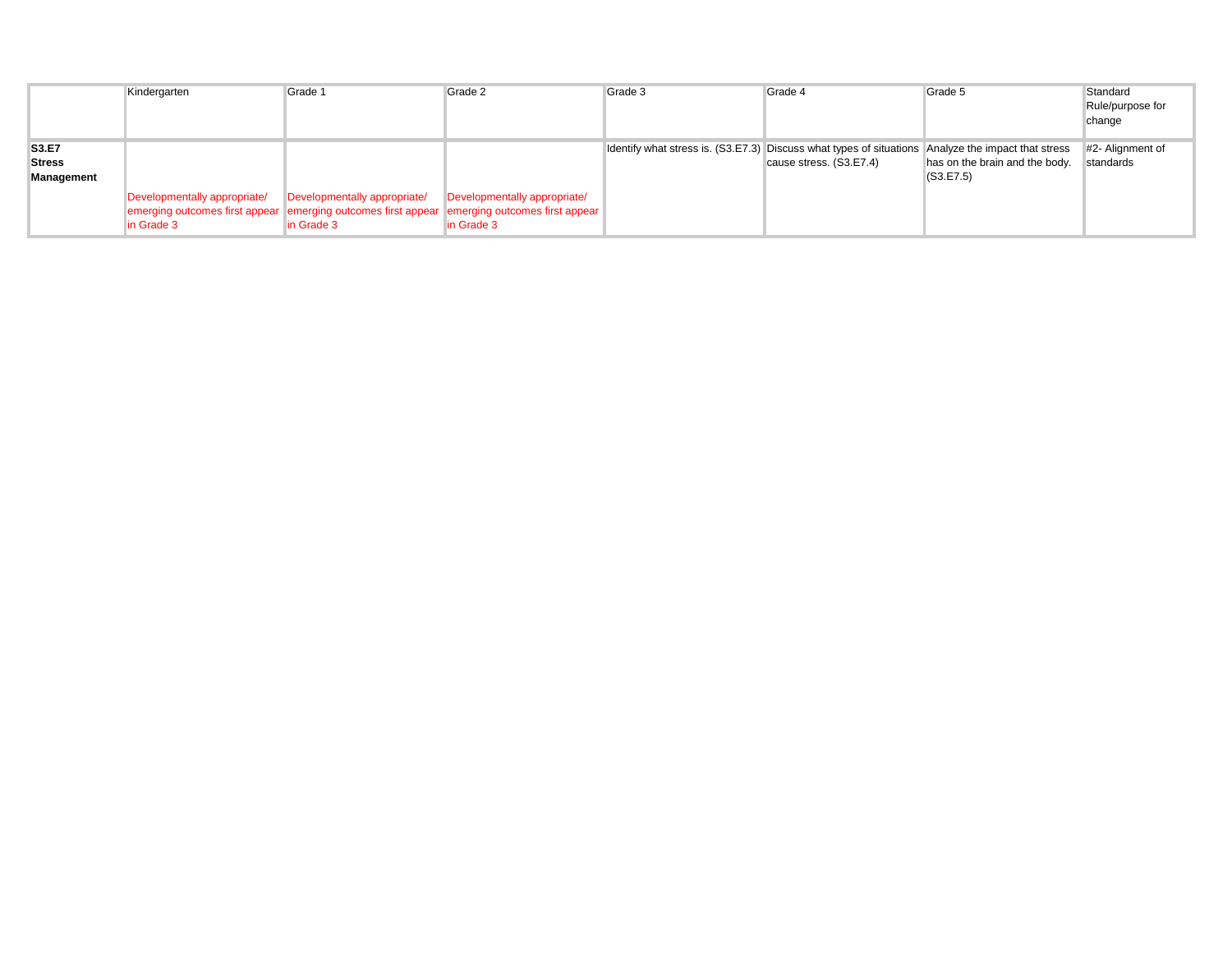|               | Kindergarten                                              | Grade 1                                                                                      | Grade 2                      | Grade 3                                                                                            | Grade 4                 | Grade 5                        | Standard         |
|---------------|-----------------------------------------------------------|----------------------------------------------------------------------------------------------|------------------------------|----------------------------------------------------------------------------------------------------|-------------------------|--------------------------------|------------------|
|               |                                                           |                                                                                              |                              |                                                                                                    |                         |                                | Rule/purpose for |
|               |                                                           |                                                                                              |                              |                                                                                                    |                         |                                | change           |
|               |                                                           |                                                                                              |                              |                                                                                                    |                         |                                |                  |
| S3.E7         |                                                           |                                                                                              |                              | Identify what stress is. (S3.E7.3) Discuss what types of situations Analyze the impact that stress |                         |                                | #2- Alignment of |
| <b>Stress</b> |                                                           |                                                                                              |                              |                                                                                                    | cause stress. (S3.E7.4) | has on the brain and the body. | standards        |
| Management    |                                                           |                                                                                              |                              |                                                                                                    |                         | (S3.E7.5)                      |                  |
|               | Developmentally appropriate/ Developmentally appropriate/ |                                                                                              | Developmentally appropriate/ |                                                                                                    |                         |                                |                  |
|               |                                                           | emerging outcomes first appear emerging outcomes first appear emerging outcomes first appear |                              |                                                                                                    |                         |                                |                  |
|               | in Grade 3                                                | in Grade 3                                                                                   | In Grade 3                   |                                                                                                    |                         |                                |                  |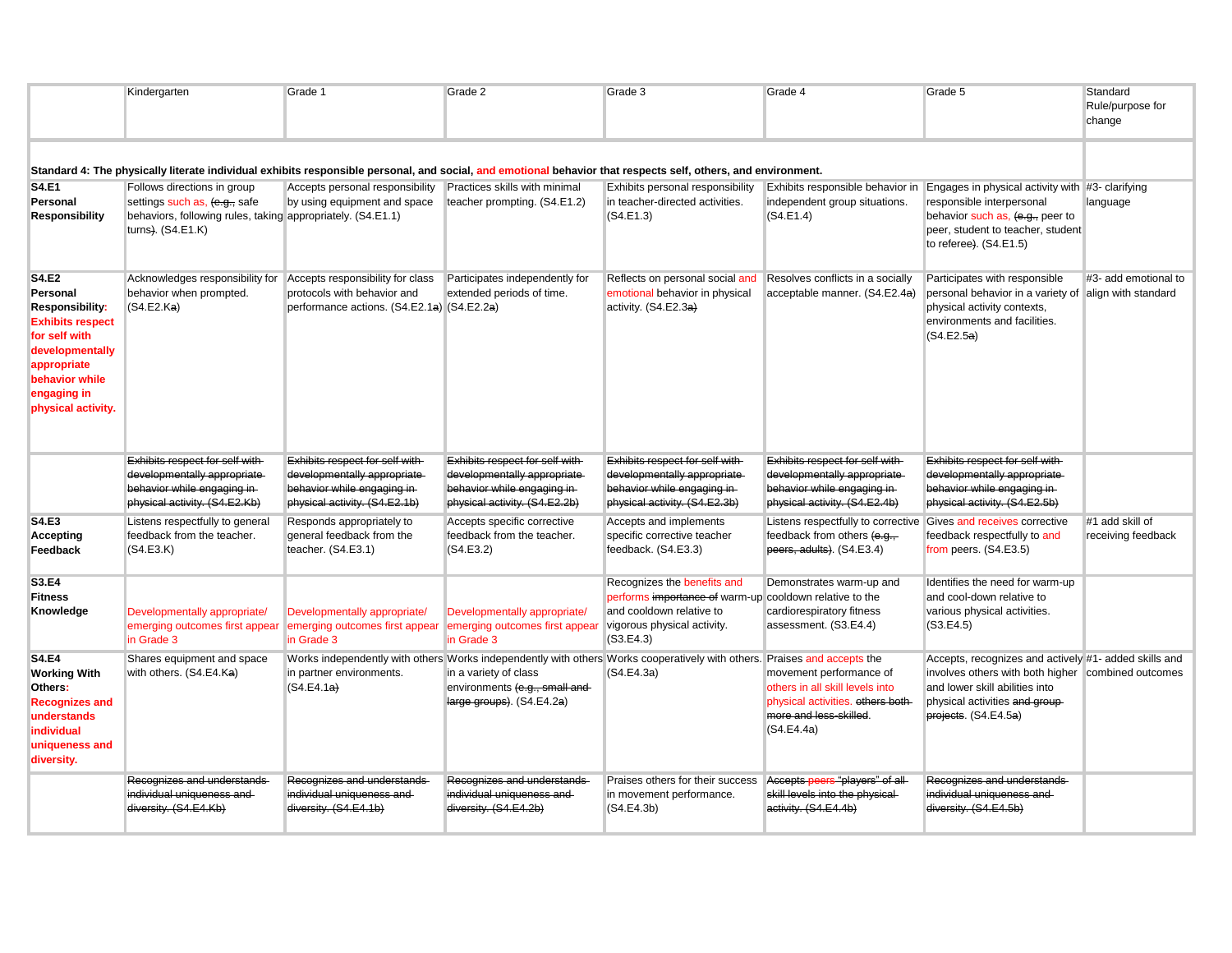|                                                                                                                                                                                         | Kindergarten                                                                                                                                     | Grade 1                                                                                                                        | Grade 2                                                                                                                        | Grade 3                                                                                                                                                        | Grade 4                                                                                                                                 | Grade 5                                                                                                                                                                                                 | Standard<br>Rule/purpose for<br>change |  |
|-----------------------------------------------------------------------------------------------------------------------------------------------------------------------------------------|--------------------------------------------------------------------------------------------------------------------------------------------------|--------------------------------------------------------------------------------------------------------------------------------|--------------------------------------------------------------------------------------------------------------------------------|----------------------------------------------------------------------------------------------------------------------------------------------------------------|-----------------------------------------------------------------------------------------------------------------------------------------|---------------------------------------------------------------------------------------------------------------------------------------------------------------------------------------------------------|----------------------------------------|--|
| Standard 4: The physically literate individual exhibits responsible personal, and social, and emotional behavior that respects self, others, and environment.                           |                                                                                                                                                  |                                                                                                                                |                                                                                                                                |                                                                                                                                                                |                                                                                                                                         |                                                                                                                                                                                                         |                                        |  |
| <b>S4.E1</b><br>Personal<br><b>Responsibility</b>                                                                                                                                       | Follows directions in group<br>settings such as, (e.g., safe<br>behaviors, following rules, taking appropriately. (S4.E1.1)<br>turns). (S4.E1.K) | Accepts personal responsibility<br>by using equipment and space                                                                | Practices skills with minimal<br>teacher prompting. (S4.E1.2)                                                                  | Exhibits personal responsibility<br>in teacher-directed activities.<br>(S4.E1.3)                                                                               | Exhibits responsible behavior in<br>independent group situations.<br>(S4.E1.4)                                                          | Engages in physical activity with #3- clarifying<br>responsible interpersonal<br>behavior such as, (e.g., peer to<br>peer, student to teacher, student<br>to referee). (S4.E1.5)                        | language                               |  |
| <b>S4.E2</b><br>Personal<br><b>Responsibility:</b><br><b>Exhibits respect</b><br>for self with<br>developmentally<br>appropriate<br>behavior while<br>engaging in<br>physical activity. | Acknowledges responsibility for<br>behavior when prompted.<br>(S4.E2.Ka)                                                                         | Accepts responsibility for class<br>protocols with behavior and<br>performance actions. (S4.E2.1a) (S4.E2.2a)                  | Participates independently for<br>extended periods of time.                                                                    | Reflects on personal social and<br>emotional behavior in physical<br>activity. (S4.E2.3a)                                                                      | Resolves conflicts in a socially<br>acceptable manner. (S4.E2.4a)                                                                       | Participates with responsible<br>personal behavior in a variety of align with standard<br>physical activity contexts,<br>environments and facilities.<br>(S4.E2.5a)                                     | #3- add emotional to                   |  |
|                                                                                                                                                                                         | Exhibits respect for self with-<br>developmentally appropriate<br>behavior while engaging in-<br>physical activity. (S4.E2.Kb)                   | Exhibits respect for self with-<br>developmentally appropriate<br>behavior while engaging in-<br>physical activity. (S4.E2.1b) | Exhibits respect for self with-<br>developmentally appropriate<br>behavior while engaging in-<br>physical activity. (S4.E2.2b) | Exhibits respect for self with-<br>developmentally appropriate<br>behavior while engaging in-<br>physical activity. (S4.E2.3b)                                 | Exhibits respect for self with-<br>developmentally appropriate<br>behavior while engaging in-<br>physical activity. (S4.E2.4b)          | Exhibits respect for self with-<br>developmentally appropriate-<br>behavior while engaging in-<br>physical activity. (S4.E2.5b)                                                                         |                                        |  |
| <b>S4.E3</b><br>Accepting<br>Feedback                                                                                                                                                   | Listens respectfully to general<br>feedback from the teacher.<br>(S4.E3.K)                                                                       | Responds appropriately to<br>general feedback from the<br>teacher. (S4.E3.1)                                                   | Accepts specific corrective<br>feedback from the teacher.<br>(S4.E3.2)                                                         | Accepts and implements<br>specific corrective teacher<br>feedback. (S4.E3.3)                                                                                   | Listens respectfully to corrective<br>feedback from others (e.g.,<br>peers, adults). (S4.E3.4)                                          | Gives and receives corrective<br>feedback respectfully to and<br>from peers. (S4.E3.5)                                                                                                                  | #1 add skill of<br>receiving feedback  |  |
| S3.E4<br><b>Fitness</b><br>Knowledge                                                                                                                                                    | Developmentally appropriate/<br>emerging outcomes first appear<br>in Grade 3                                                                     | Developmentally appropriate/<br>emerging outcomes first appear<br>in Grade 3                                                   | Developmentally appropriate/<br>emerging outcomes first appear<br>in Grade 3                                                   | Recognizes the benefits and<br>performs importance of warm-up cooldown relative to the<br>and cooldown relative to<br>vigorous physical activity.<br>(S3.E4.3) | Demonstrates warm-up and<br>cardiorespiratory fitness<br>assessment. (S3.E4.4)                                                          | Identifies the need for warm-up<br>and cool-down relative to<br>various physical activities.<br>(S3.E4.5)                                                                                               |                                        |  |
| <b>S4.E4</b><br><b>Working With</b><br>Others:<br><b>Recognizes and</b><br>understands<br>individual<br>uniqueness and<br>diversity.                                                    | Shares equipment and space<br>with others. (S4.E4.Ka)                                                                                            | in partner environments.<br>(S4.E4.1a)                                                                                         | in a variety of class<br>environments (e.g., small and<br>large groups). (S4.E4.2a)                                            | Works independently with others Works independently with others Works cooperatively with others. Praises and accepts the<br>(S4.E4.3a)                         | movement performance of<br>others in all skill levels into<br>physical activities. others both-<br>more and less-skilled.<br>(S4.E4.4a) | Accepts, recognizes and actively #1- added skills and<br>involves others with both higher combined outcomes<br>and lower skill abilities into<br>physical activities and group-<br>projects. (S4.E4.5a) |                                        |  |
|                                                                                                                                                                                         | Recognizes and understands<br>individual uniqueness and<br>diversity. (S4.E4.Kb)                                                                 | Recognizes and understands<br>individual uniqueness and<br>diversity. (S4.E4.1b)                                               | Recognizes and understands<br>individual uniqueness and<br>diversity. (S4.E4.2b)                                               | Praises others for their success<br>in movement performance.<br>(S4.E4.3b)                                                                                     | Accepts peers "players" of all<br>skill levels into the physical-<br>activity. (S4.E4.4b)                                               | Recognizes and understands-<br>individual uniqueness and<br>diversity. (S4.E4.5b)                                                                                                                       |                                        |  |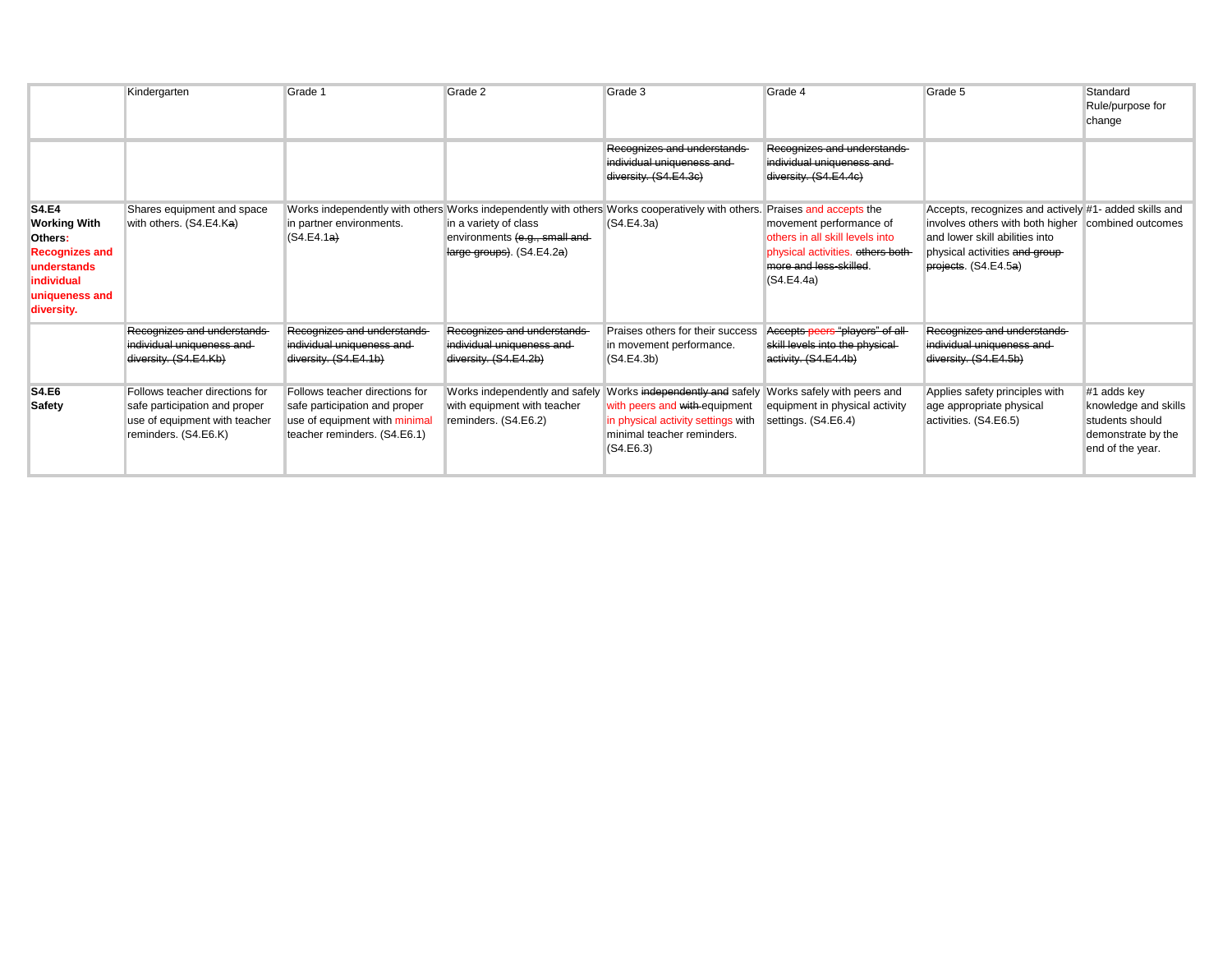|                                                                                                                                      | Kindergarten                                                                                                             | Grade 1                                                                                                                          | Grade 2                                                                                                                                                                                 | Grade 3                                                                                                        | Grade 4                                                                                                                                                            | Grade 5                                                                                                                                                                                                 | Standard<br>Rule/purpose for<br>change                                                           |
|--------------------------------------------------------------------------------------------------------------------------------------|--------------------------------------------------------------------------------------------------------------------------|----------------------------------------------------------------------------------------------------------------------------------|-----------------------------------------------------------------------------------------------------------------------------------------------------------------------------------------|----------------------------------------------------------------------------------------------------------------|--------------------------------------------------------------------------------------------------------------------------------------------------------------------|---------------------------------------------------------------------------------------------------------------------------------------------------------------------------------------------------------|--------------------------------------------------------------------------------------------------|
|                                                                                                                                      |                                                                                                                          |                                                                                                                                  |                                                                                                                                                                                         | Recognizes and understands<br>individual uniqueness and<br>diversity. (S4.E4.3c)                               | Recognizes and understands<br>individual uniqueness and<br>diversity. (S4.E4.4c)                                                                                   |                                                                                                                                                                                                         |                                                                                                  |
| <b>S4.E4</b><br><b>Working With</b><br>Others:<br><b>Recognizes and</b><br>understands<br>individual<br>uniqueness and<br>diversity. | Shares equipment and space<br>with others. (S4.E4.Ka)                                                                    | in partner environments.<br>(S4.E4.1a)                                                                                           | Works independently with others Works independently with others Works cooperatively with others.<br>in a variety of class<br>environments (e.g., small and<br>large groups). (S4.E4.2a) | (S4.E4.3a)                                                                                                     | Praises and accepts the<br>movement performance of<br>others in all skill levels into<br>physical activities. others both-<br>more and less-skilled.<br>(S4.E4.4a) | Accepts, recognizes and actively #1- added skills and<br>involves others with both higher combined outcomes<br>and lower skill abilities into<br>physical activities and group-<br>projects. (S4.E4.5a) |                                                                                                  |
|                                                                                                                                      | Recognizes and understands<br>individual uniqueness and<br>diversity. (S4.E4.Kb)                                         | Recognizes and understands<br>individual uniqueness and<br>diversity. (S4.E4.1b)                                                 | Recognizes and understands<br>individual uniqueness and<br>diversity. (S4.E4.2b)                                                                                                        | Praises others for their success<br>in movement performance.<br>(S4.E4.3b)                                     | Accepts peers "players" of all<br>skill levels into the physical-<br>activity. (S4.E4.4b)                                                                          | Recognizes and understands<br>individual uniqueness and<br>diversity. (S4.E4.5b)                                                                                                                        |                                                                                                  |
| <b>S4.E6</b><br><b>Safety</b>                                                                                                        | Follows teacher directions for<br>safe participation and proper<br>use of equipment with teacher<br>reminders. (S4.E6.K) | Follows teacher directions for<br>safe participation and proper<br>use of equipment with minimal<br>teacher reminders. (S4.E6.1) | Works independently and safely Works independently and safely<br>with equipment with teacher<br>reminders. (S4.E6.2)                                                                    | with peers and with equipment<br>in physical activity settings with<br>minimal teacher reminders.<br>(S4.E6.3) | Works safely with peers and<br>equipment in physical activity<br>settings. (S4.E6.4)                                                                               | Applies safety principles with<br>age appropriate physical<br>activities. (S4.E6.5)                                                                                                                     | #1 adds key<br>knowledge and skills<br>students should<br>demonstrate by the<br>end of the year. |